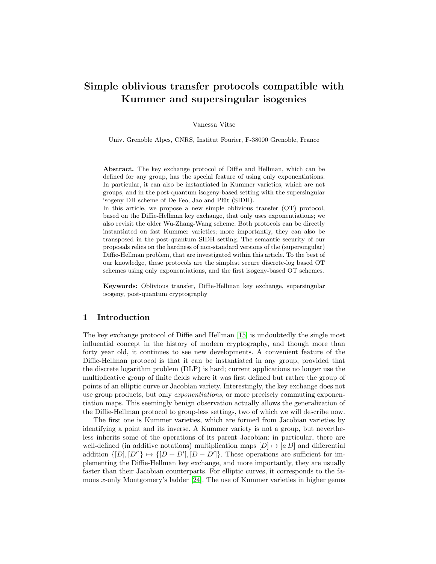# Simple oblivious transfer protocols compatible with Kummer and supersingular isogenies

Vanessa Vitse

Univ. Grenoble Alpes, CNRS, Institut Fourier, F-38000 Grenoble, France

Abstract. The key exchange protocol of Diffie and Hellman, which can be defined for any group, has the special feature of using only exponentiations. In particular, it can also be instantiated in Kummer varieties, which are not groups, and in the post-quantum isogeny-based setting with the supersingular isogeny DH scheme of De Feo, Jao and Plût (SIDH).

In this article, we propose a new simple oblivious transfer (OT) protocol, based on the Diffie-Hellman key exchange, that only uses exponentiations; we also revisit the older Wu-Zhang-Wang scheme. Both protocols can be directly instantiated on fast Kummer varieties; more importantly, they can also be transposed in the post-quantum SIDH setting. The semantic security of our proposals relies on the hardness of non-standard versions of the (supersingular) Diffie-Hellman problem, that are investigated within this article. To the best of our knowledge, these protocols are the simplest secure discrete-log based OT schemes using only exponentiations, and the first isogeny-based OT schemes.

Keywords: Oblivious transfer, Diffie-Hellman key exchange, supersingular isogeny, post-quantum cryptography

# 1 Introduction

The key exchange protocol of Diffie and Hellman [\[15\]](#page-26-0) is undoubtedly the single most influential concept in the history of modern cryptography, and though more than forty year old, it continues to see new developments. A convenient feature of the Diffie-Hellman protocol is that it can be instantiated in any group, provided that the discrete logarithm problem (DLP) is hard; current applications no longer use the multiplicative group of finite fields where it was first defined but rather the group of points of an elliptic curve or Jacobian variety. Interestingly, the key exchange does not use group products, but only *exponentiations*, or more precisely commuting exponentiation maps. This seemingly benign observation actually allows the generalization of the Diffie-Hellman protocol to group-less settings, two of which we will describe now.

The first one is Kummer varieties, which are formed from Jacobian varieties by identifying a point and its inverse. A Kummer variety is not a group, but nevertheless inherits some of the operations of its parent Jacobian: in particular, there are well-defined (in additive notations) multiplication maps  $[D] \mapsto [a D]$  and differential addition  $\{[D], [D']\} \mapsto \{[D + D'], [D - D']\}.$  These operations are sufficient for implementing the Diffie-Hellman key exchange, and more importantly, they are usually faster than their Jacobian counterparts. For elliptic curves, it corresponds to the famous x-only Montgomery's ladder [\[24\]](#page-26-1). The use of Kummer varieties in higher genus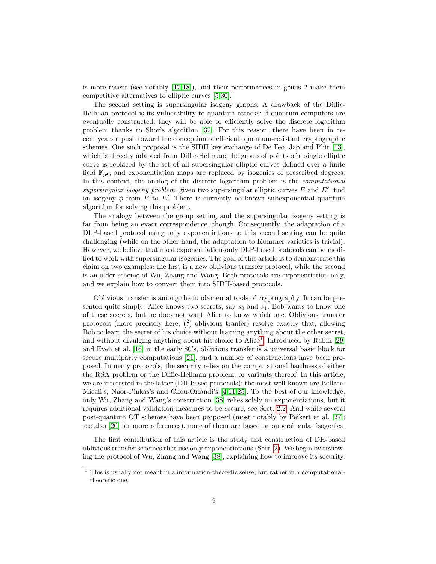is more recent (see notably [\[17,](#page-26-2)[18\]](#page-26-3)), and their performances in genus 2 make them competitive alternatives to elliptic curves [\[5,](#page-25-0)[30\]](#page-27-0).

The second setting is supersingular isogeny graphs. A drawback of the Diffie-Hellman protocol is its vulnerability to quantum attacks: if quantum computers are eventually constructed, they will be able to efficiently solve the discrete logarithm problem thanks to Shor's algorithm [\[32\]](#page-27-1). For this reason, there have been in recent years a push toward the conception of efficient, quantum-resistant cryptographic schemes. One such proposal is the SIDH key exchange of De Feo, Jao and Pl $\hat{u}$  [\[13\]](#page-26-4), which is directly adapted from Diffie-Hellman: the group of points of a single elliptic curve is replaced by the set of all supersingular elliptic curves defined over a finite field  $\mathbb{F}_{n^2}$ , and exponentiation maps are replaced by isogenies of prescribed degrees. In this context, the analog of the discrete logarithm problem is the *computational* supersingular isogeny problem: given two supersingular elliptic curves  $E$  and  $E'$ , find an isogeny  $\phi$  from E to E'. There is currently no known subexponential quantum algorithm for solving this problem.

The analogy between the group setting and the supersingular isogeny setting is far from being an exact correspondence, though. Consequently, the adaptation of a DLP-based protocol using only exponentiations to this second setting can be quite challenging (while on the other hand, the adaptation to Kummer varieties is trivial). However, we believe that most exponentiation-only DLP-based protocols can be modified to work with supersingular isogenies. The goal of this article is to demonstrate this claim on two examples: the first is a new oblivious transfer protocol, while the second is an older scheme of Wu, Zhang and Wang. Both protocols are exponentiation-only, and we explain how to convert them into SIDH-based protocols.

Oblivious transfer is among the fundamental tools of cryptography. It can be presented quite simply: Alice knows two secrets, say  $s_0$  and  $s_1$ . Bob wants to know one of these secrets, but he does not want Alice to know which one. Oblivious transfer protocols (more precisely here,  $\binom{2}{1}$ -oblivious tranfer) resolve exactly that, allowing Bob to learn the secret of his choice without learning anything about the other secret, and without divulging anything about his choice to  $Alice<sup>1</sup>$  $Alice<sup>1</sup>$  $Alice<sup>1</sup>$ . Introduced by Rabin [\[29\]](#page-27-2) and Even et al. [\[16\]](#page-26-5) in the early 80's, oblivious transfer is a universal basic block for secure multiparty computations [\[21\]](#page-26-6), and a number of constructions have been proposed. In many protocols, the security relies on the computational hardness of either the RSA problem or the Diffie-Hellman problem, or variants thereof. In this article, we are interested in the latter (DH-based protocols); the most well-known are Bellare-Micali's, Naor-Pinkas's and Chou-Orlandi's [\[4,](#page-25-1)[11,](#page-26-7)[25\]](#page-26-8). To the best of our knowledge, only Wu, Zhang and Wang's construction [\[38\]](#page-27-3) relies solely on exponentiations, but it requires additional validation measures to be secure, see Sect. [2.2.](#page-3-0) And while several post-quantum OT schemes have been proposed (most notably by Peikert et al. [\[27\]](#page-26-9); see also [\[20\]](#page-26-10) for more references), none of them are based on supersingular isogenies.

The first contribution of this article is the study and construction of DH-based oblivious transfer schemes that use only exponentiations (Sect. [2\)](#page-2-0). We begin by reviewing the protocol of Wu, Zhang and Wang [\[38\]](#page-27-3), explaining how to improve its security.

<span id="page-1-0"></span> $1$  This is usually not meant in a information-theoretic sense, but rather in a computationaltheoretic one.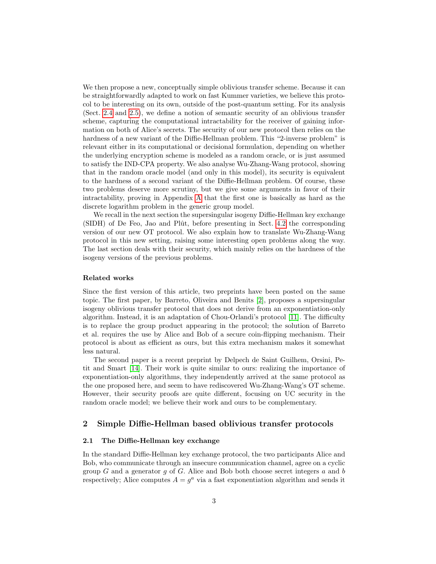We then propose a new, conceptually simple oblivious transfer scheme. Because it can be straightforwardly adapted to work on fast Kummer varieties, we believe this protocol to be interesting on its own, outside of the post-quantum setting. For its analysis (Sect. [2.4](#page-7-0) and [2.5\)](#page-8-0), we define a notion of semantic security of an oblivious transfer scheme, capturing the computational intractability for the receiver of gaining information on both of Alice's secrets. The security of our new protocol then relies on the hardness of a new variant of the Diffie-Hellman problem. This "2-inverse problem" is relevant either in its computational or decisional formulation, depending on whether the underlying encryption scheme is modeled as a random oracle, or is just assumed to satisfy the IND-CPA property. We also analyse Wu-Zhang-Wang protocol, showing that in the random oracle model (and only in this model), its security is equivalent to the hardness of a second variant of the Diffie-Hellman problem. Of course, these two problems deserve more scrutiny, but we give some arguments in favor of their intractability, proving in Appendix [A](#page-27-4) that the first one is basically as hard as the discrete logarithm problem in the generic group model.

We recall in the next section the supersingular isogeny Diffie-Hellman key exchange  $(SIDH)$  of De Feo, Jao and Plût, before presenting in Sect. [4.2](#page-18-0) the corresponding version of our new OT protocol. We also explain how to translate Wu-Zhang-Wang protocol in this new setting, raising some interesting open problems along the way. The last section deals with their security, which mainly relies on the hardness of the isogeny versions of the previous problems.

#### Related works

Since the first version of this article, two preprints have been posted on the same topic. The first paper, by Barreto, Oliveira and Benits [\[2\]](#page-25-2), proposes a supersingular isogeny oblivious transfer protocol that does not derive from an exponentiation-only algorithm. Instead, it is an adaptation of Chou-Orlandi's protocol [\[11\]](#page-26-7). The difficulty is to replace the group product appearing in the protocol; the solution of Barreto et al. requires the use by Alice and Bob of a secure coin-flipping mechanism. Their protocol is about as efficient as ours, but this extra mechanism makes it somewhat less natural.

The second paper is a recent preprint by Delpech de Saint Guilhem, Orsini, Petit and Smart [\[14\]](#page-26-11). Their work is quite similar to ours: realizing the importance of exponentiation-only algorithms, they independently arrived at the same protocol as the one proposed here, and seem to have rediscovered Wu-Zhang-Wang's OT scheme. However, their security proofs are quite different, focusing on UC security in the random oracle model; we believe their work and ours to be complementary.

# <span id="page-2-0"></span>2 Simple Diffie-Hellman based oblivious transfer protocols

#### 2.1 The Diffie-Hellman key exchange

In the standard Diffie-Hellman key exchange protocol, the two participants Alice and Bob, who communicate through an insecure communication channel, agree on a cyclic group G and a generator q of G. Alice and Bob both choose secret integers  $a$  and  $b$ respectively; Alice computes  $A = g^a$  via a fast exponentiation algorithm and sends it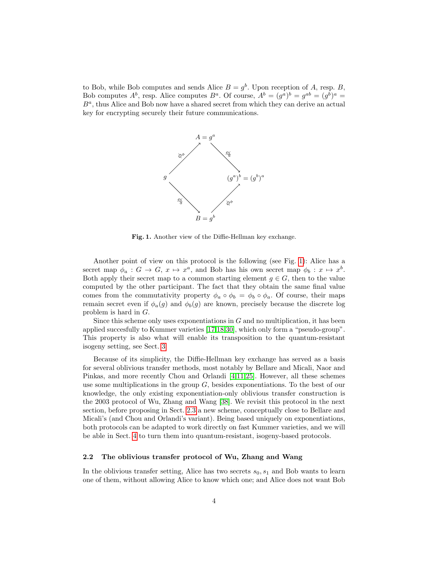to Bob, while Bob computes and sends Alice  $B = g<sup>b</sup>$ . Upon reception of A, resp. B, Bob computes  $A^b$ , resp. Alice computes  $B^a$ . Of course,  $A^b = (g^a)^b = g^{ab} = (g^b)^a =$  $B^a$ , thus Alice and Bob now have a shared secret from which they can derive an actual key for encrypting securely their future communications.



<span id="page-3-1"></span>Fig. 1. Another view of the Diffie-Hellman key exchange.

Another point of view on this protocol is the following (see Fig. [1\)](#page-3-1): Alice has a secret map  $\phi_a : G \to G$ ,  $x \mapsto x^a$ , and Bob has his own secret map  $\phi_b : x \mapsto x^b$ . Both apply their secret map to a common starting element  $g \in G$ , then to the value computed by the other participant. The fact that they obtain the same final value comes from the commutativity property  $\phi_a \circ \phi_b = \phi_b \circ \phi_a$ . Of course, their maps remain secret even if  $\phi_a(g)$  and  $\phi_b(g)$  are known, precisely because the discrete log problem is hard in G.

Since this scheme only uses exponentiations in  $G$  and no multiplication, it has been applied succesfully to Kummer varieties [\[17,](#page-26-2)[18](#page-26-3)[,30\]](#page-27-0), which only form a "pseudo-group". This property is also what will enable its transposition to the quantum-resistant isogeny setting, see Sect. [3.](#page-12-0)

Because of its simplicity, the Diffie-Hellman key exchange has served as a basis for several oblivious transfer methods, most notably by Bellare and Micali, Naor and Pinkas, and more recently Chou and Orlandi [\[4,](#page-25-1)[11,](#page-26-7)[25\]](#page-26-8). However, all these schemes use some multiplications in the group  $G$ , besides exponentiations. To the best of our knowledge, the only existing exponentiation-only oblivious transfer construction is the 2003 protocol of Wu, Zhang and Wang [\[38\]](#page-27-3). We revisit this protocol in the next section, before proposing in Sect. [2.3](#page-6-0) a new scheme, conceptually close to Bellare and Micali's (and Chou and Orlandi's variant). Being based uniquely on exponentiations, both protocols can be adapted to work directly on fast Kummer varieties, and we will be able in Sect. [4](#page-15-0) to turn them into quantum-resistant, isogeny-based protocols.

#### <span id="page-3-0"></span>2.2 The oblivious transfer protocol of Wu, Zhang and Wang

In the oblivious transfer setting, Alice has two secrets  $s_0, s_1$  and Bob wants to learn one of them, without allowing Alice to know which one; and Alice does not want Bob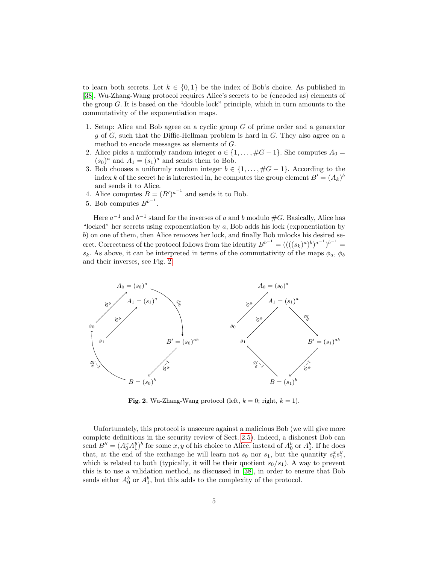to learn both secrets. Let  $k \in \{0,1\}$  be the index of Bob's choice. As published in [\[38\]](#page-27-3), Wu-Zhang-Wang protocol requires Alice's secrets to be (encoded as) elements of the group G. It is based on the "double lock" principle, which in turn amounts to the commutativity of the exponentiation maps.

- 1. Setup: Alice and Bob agree on a cyclic group G of prime order and a generator g of G, such that the Diffie-Hellman problem is hard in G. They also agree on a method to encode messages as elements of G.
- 2. Alice picks a uniformly random integer  $a \in \{1, \ldots, \#G-1\}$ . She computes  $A_0 =$  $(s_0)^a$  and  $A_1 = (s_1)^a$  and sends them to Bob.
- 3. Bob chooses a uniformly random integer  $b \in \{1, \ldots, \#G-1\}$ . According to the index k of the secret he is interested in, he computes the group element  $B' = (A_k)^b$ and sends it to Alice.
- 4. Alice computes  $B = (B')^{a^{-1}}$  and sends it to Bob.
- 5. Bob computes  $B^{b^{-1}}$ .

Here  $a^{-1}$  and  $b^{-1}$  stand for the inverses of a and b modulo  $\#G$ . Basically, Alice has "locked" her secrets using exponentiation by a, Bob adds his lock (exponentiation by b) on one of them, then Alice removes her lock, and finally Bob unlocks his desired secret. Correctness of the protocol follows from the identity  $B^{b^{-1}} = ((( (s_k)^a)^b)^{a^{-1}})^{b^{-1}} =$  $s_k$ . As above, it can be interpreted in terms of the commutativity of the maps  $\phi_a$ ,  $\phi_b$ and their inverses, see Fig. [2.](#page-4-0)



<span id="page-4-0"></span>Fig. 2. Wu-Zhang-Wang protocol (left,  $k = 0$ ; right,  $k = 1$ ).

Unfortunately, this protocol is unsecure against a malicious Bob (we will give more complete definitions in the security review of Sect. [2.5\)](#page-8-0). Indeed, a dishonest Bob can send  $B'' = (A_0^x A_1^y)^b$  for some  $x, y$  of his choice to Alice, instead of  $A_0^b$  or  $A_1^b$ . If he does that, at the end of the exchange he will learn not  $s_0$  nor  $s_1$ , but the quantity  $s_0^xs_1^y$ , which is related to both (typically, it will be their quotient  $s_0/s_1$ ). A way to prevent this is to use a validation method, as discussed in [\[38\]](#page-27-3), in order to ensure that Bob sends either  $A_0^b$  or  $A_1^b$ , but this adds to the complexity of the protocol.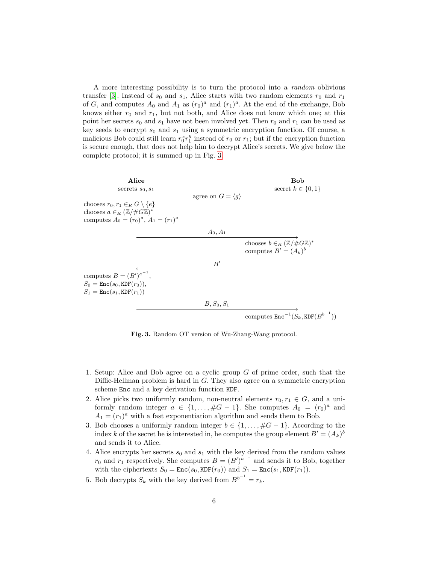A more interesting possibility is to turn the protocol into a random oblivious transfer [\[3\]](#page-25-3). Instead of  $s_0$  and  $s_1$ , Alice starts with two random elements  $r_0$  and  $r_1$ of G, and computes  $A_0$  and  $A_1$  as  $(r_0)^a$  and  $(r_1)^a$ . At the end of the exchange, Bob knows either  $r_0$  and  $r_1$ , but not both, and Alice does not know which one; at this point her secrets  $s_0$  and  $s_1$  have not been involved yet. Then  $r_0$  and  $r_1$  can be used as key seeds to encrypt  $s_0$  and  $s_1$  using a symmetric encryption function. Of course, a malicious Bob could still learn  $r_0^x r_1^y$  instead of  $r_0$  or  $r_1$ ; but if the encryption function is secure enough, that does not help him to decrypt Alice's secrets. We give below the complete protocol; it is summed up in Fig. [3.](#page-5-0)

| Alice<br>secrets $s_0, s_1$                                                                                          |                                  | Bob<br>secret $k \in \{0, 1\}$                                            |
|----------------------------------------------------------------------------------------------------------------------|----------------------------------|---------------------------------------------------------------------------|
| chooses $r_0, r_1 \in_R G \setminus \{e\}$                                                                           | agree on $G = \langle q \rangle$ |                                                                           |
| chooses $a \in_R (\mathbb{Z}/\#G\mathbb{Z})^*$<br>computes $A_0 = (r_0)^a$ , $A_1 = (r_1)^a$                         |                                  |                                                                           |
|                                                                                                                      | $A_0, A_1$                       |                                                                           |
|                                                                                                                      |                                  | chooses $b \in_R (\mathbb{Z}/\#G\mathbb{Z})^*$<br>computes $B' = (A_k)^b$ |
|                                                                                                                      | B'                               |                                                                           |
| computes $B=(B')^{a^{-1}},$<br>$S_0 = \text{Enc}(s_0, \text{KDF}(r_0)),$<br>$S_1 = \text{Enc}(s_1, \text{KDF}(r_1))$ |                                  |                                                                           |
|                                                                                                                      | $B, S_0, S_1$                    |                                                                           |
|                                                                                                                      |                                  | computes $\text{Enc}^{-1}(S_k, \text{KDF}(B^{b^{-1}}))$                   |

<span id="page-5-0"></span>Fig. 3. Random OT version of Wu-Zhang-Wang protocol.

- 1. Setup: Alice and Bob agree on a cyclic group G of prime order, such that the Diffie-Hellman problem is hard in  $G$ . They also agree on a symmetric encryption scheme Enc and a key derivation function KDF.
- 2. Alice picks two uniformly random, non-neutral elements  $r_0, r_1 \in G$ , and a uniformly random integer  $a \in \{1, \ldots, \#G-1\}$ . She computes  $A_0 = (r_0)^a$  and  $A_1 = (r_1)^a$  with a fast exponentiation algorithm and sends them to Bob.
- 3. Bob chooses a uniformly random integer  $b \in \{1, \ldots, \#G-1\}$ . According to the index k of the secret he is interested in, he computes the group element  $B' = (A_k)^b$ and sends it to Alice.
- 4. Alice encrypts her secrets  $s_0$  and  $s_1$  with the key derived from the random values  $r_0$  and  $r_1$  respectively. She computes  $B = (B')^{a^{-1}}$  and sends it to Bob, together with the ciphertexts  $S_0 = \text{Enc}(s_0, \text{KDF}(r_0))$  and  $S_1 = \text{Enc}(s_1, \text{KDF}(r_1)).$
- 5. Bob decrypts  $S_k$  with the key derived from  $B^{b^{-1}} = r_k$ .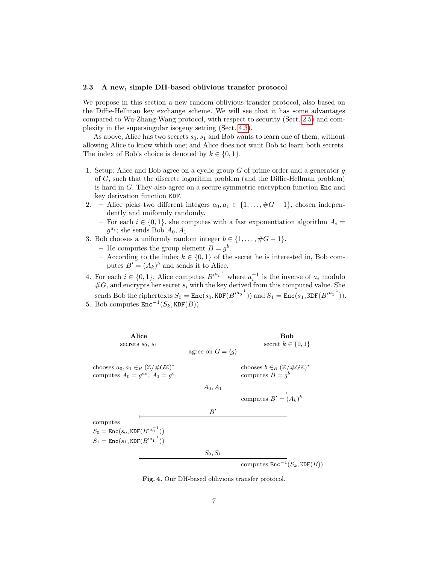#### <span id="page-6-0"></span>2.3 A new, simple DH-based oblivious transfer protocol

We propose in this section a new random oblivious transfer protocol, also based on the Diffie-Hellman key exchange scheme. We will see that it has some advantages compared to Wu-Zhang-Wang protocol, with respect to security (Sect. [2.5\)](#page-8-0) and complexity in the supersingular isogeny setting (Sect. [4.3\)](#page-19-0).

As above, Alice has two secrets  $s_0, s_1$  and Bob wants to learn one of them, without allowing Alice to know which one; and Alice does not want Bob to learn both secrets. The index of Bob's choice is denoted by  $k \in \{0, 1\}.$ 

- 1. Setup: Alice and Bob agree on a cyclic group  $G$  of prime order and a generator  $q$ of G, such that the discrete logarithm problem (and the Diffie-Hellman problem) is hard in G. They also agree on a secure symmetric encryption function Enc and key derivation function KDF.
- 2. Alice picks two different integers  $a_0, a_1 \in \{1, ..., \#G-1\}$ , chosen independently and uniformly randomly.
	- For each  $i \in \{0,1\}$ , she computes with a fast exponentiation algorithm  $A_i$  $g^{a_i}$ ; she sends Bob  $A_0, A_1$ .
- 3. Bob chooses a uniformly random integer  $b \in \{1, \ldots, \#G 1\}.$ 
	- He computes the group element  $B = g<sup>b</sup>$ .
	- According to the index  $k \in \{0,1\}$  of the secret he is interested in, Bob computes  $B' = (A_k)^b$  and sends it to Alice.
- 4. For each  $i \in \{0,1\}$ , Alice computes  $B'^{a_i^{-1}}$  where  $a_i^{-1}$  is the inverse of  $a_i$  modulo  $\#G$ , and encrypts her secret  $s_i$  with the key derived from this computed value. She

sends Bob the ciphertexts  $S_0 = \text{Enc}(s_0, \text{KDF}(B'^{a_0^{-1}}))$  and  $S_1 = \text{Enc}(s_1, \text{KDF}(B'^{a_1^{-1}}))$ . 5. Bob computes  $\text{Enc}^{-1}(S_k, \text{KDF}(B)).$ 

Alice Bob secrets  $s_0, s_1$  secret  $k \in \{0, 1\}$ agree on  $G = \langle q \rangle$ chooses  $a_0, a_1 \in_R (\mathbb{Z}/\#G\mathbb{Z})^*$ chooses  $b \in_R (\mathbb{Z}/\#G\mathbb{Z})^*$ computes  $A_0 = g^{a_0}$ ,  $A_1 = g$  $a_1$  computes  $B = g^b$ computes  $B' = (A_k)^b$ computes  $S_0 = \texttt{Enc}(s_0, \texttt{KDF}(B'^{a_0^{-1}}))$  $S_1 = \texttt{Enc}(s_1, \texttt{KDF}(B'^{a_1^{-1}}))$ computes  $\texttt{Enc}^{-1}(S_k, \texttt{KDF}(B))$  $A_0, A_1$  $B'$  $S_0, S_1$ 

Fig. 4. Our DH-based oblivious transfer protocol.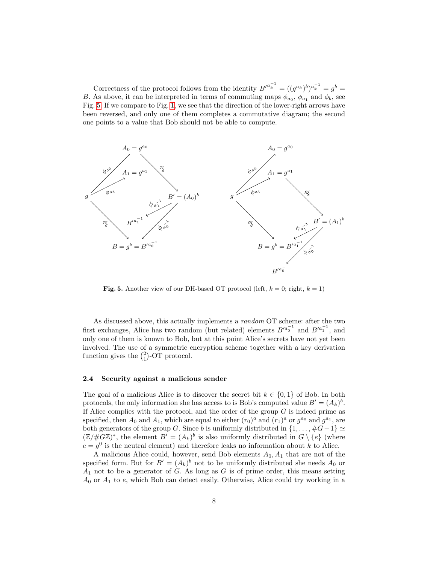Correctness of the protocol follows from the identity  $B'^{a_k^{-1}} = ((g^{a_k})^b)^{a_k^{-1}} = g^b =$ B. As above, it can be interpreted in terms of commuting maps  $\phi_{a_0}$ ,  $\phi_{a_1}$  and  $\phi_b$ , see Fig. [5.](#page-7-1) If we compare to Fig. [1,](#page-3-1) we see that the direction of the lower-right arrows have been reversed, and only one of them completes a commutative diagram; the second one points to a value that Bob should not be able to compute.



<span id="page-7-1"></span>**Fig. 5.** Another view of our DH-based OT protocol (left,  $k = 0$ ; right,  $k = 1$ )

As discussed above, this actually implements a random OT scheme: after the two first exchanges, Alice has two random (but related) elements  $B'^{a_0^{-1}}$  and  $B'^{a_1^{-1}}$ , and only one of them is known to Bob, but at this point Alice's secrets have not yet been involved. The use of a symmetric encryption scheme together with a key derivation function gives the  $\binom{2}{1}$ -OT protocol.

#### <span id="page-7-0"></span>2.4 Security against a malicious sender

The goal of a malicious Alice is to discover the secret bit  $k \in \{0,1\}$  of Bob. In both protocols, the only information she has access to is Bob's computed value  $B' = (A_k)^b$ . If Alice complies with the protocol, and the order of the group  $G$  is indeed prime as specified, then  $A_0$  and  $A_1$ , which are equal to either  $(r_0)^a$  and  $(r_1)^a$  or  $g^{a_0}$  and  $g^{a_1}$ , are both generators of the group G. Since b is uniformly distributed in  $\{1, \ldots, \#G-1\} \simeq$  $(\mathbb{Z}/\#G\mathbb{Z})^*$ , the element  $B' = (A_k)^b$  is also uniformly distributed in  $G \setminus \{e\}$  (where  $e = g^0$  is the neutral element) and therefore leaks no information about k to Alice.

A malicious Alice could, however, send Bob elements  $A_0$ ,  $A_1$  that are not of the specified form. But for  $B' = (A_k)^b$  not to be uniformly distributed she needs  $A_0$  or  $A_1$  not to be a generator of G. As long as G is of prime order, this means setting  $A_0$  or  $A_1$  to  $e$ , which Bob can detect easily. Otherwise, Alice could try working in a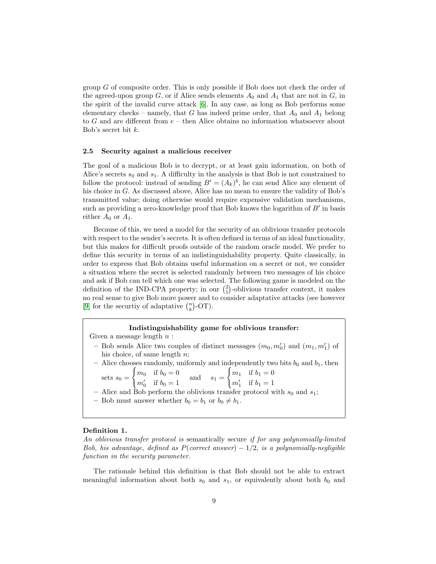group G of composite order. This is only possible if Bob does not check the order of the agreed-upon group G, or if Alice sends elements  $A_0$  and  $A_1$  that are not in G, in the spirit of the invalid curve attack [\[6\]](#page-26-12). In any case, as long as Bob performs some elementary checks – namely, that  $G$  has indeed prime order, that  $A_0$  and  $A_1$  belong to  $G$  and are different from  $e$  – then Alice obtains no information whatsoever about Bob's secret bit k.

#### <span id="page-8-0"></span>2.5 Security against a malicious receiver

The goal of a malicious Bob is to decrypt, or at least gain information, on both of Alice's secrets  $s_0$  and  $s_1$ . A difficulty in the analysis is that Bob is not constrained to follow the protocol: instead of sending  $B' = (A_k)^b$ , he can send Alice any element of his choice in G. As discussed above, Alice has no mean to ensure the validity of Bob's transmitted value; doing otherwise would require expensive validation mechanisms, such as providing a zero-knowledge proof that Bob knows the logarithm of  $B'$  in basis either  $A_0$  or  $A_1$ .

Because of this, we need a model for the security of an oblivious transfer protocols with respect to the sender's secrets. It is often defined in terms of an ideal functionality, but this makes for difficult proofs outside of the random oracle model. We prefer to define this security in terms of an indistinguishability property. Quite classically, in order to express that Bob obtains useful information on a secret or not, we consider a situation where the secret is selected randomly between two messages of his choice and ask if Bob can tell which one was selected. The following game is modeled on the definition of the IND-CPA property; in our  $\binom{2}{1}$ -oblivious transfer context, it makes no real sense to give Bob more power and to consider adaptative attacks (see however [\[9\]](#page-26-13) for the securtiy of adaptative  $\binom{n}{k}$ -OT).

#### Indistinguishability game for oblivious transfer:

Given a message length  $n$ :

– Bob sends Alice two couples of distinct messages  $(m_0, m'_0)$  and  $(m_1, m'_1)$  of his choice, of same length n; – Alice chooses randomly, uniformly and independently two bits  $b_0$  and  $b_1$ , then

sets  $s_0 =$  $\int m_0$  if  $b_0 = 0$  $m'_0$  if  $b_0 = 1$  and  $s_1 =$  $\int m_1$  if  $b_1 = 0$  $m'_1$  if  $b_1 = 1$ 

– Alice and Bob perform the oblivious transfer protocol with  $s_0$  and  $s_1$ ;

– Bob must answer whether  $b_0 = b_1$  or  $b_0 \neq b_1$ .

#### Definition 1.

An oblivious transfer protocol is semantically secure if for any polynomially-limited Bob, his advantage, defined as  $P(correct answer) - 1/2$ , is a polynomially-negligible function in the security parameter.

The rationale behind this definition is that Bob should not be able to extract meaningful information about both  $s_0$  and  $s_1$ , or equivalently about both  $b_0$  and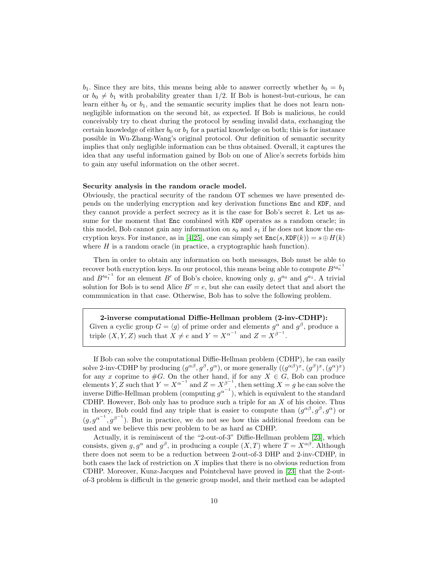$b_1$ . Since they are bits, this means being able to answer correctly whether  $b_0 = b_1$ or  $b_0 \neq b_1$  with probability greater than 1/2. If Bob is honest-but-curious, he can learn either  $b_0$  or  $b_1$ , and the semantic security implies that he does not learn nonnegligible information on the second bit, as expected. If Bob is malicious, he could conceivably try to cheat during the protocol by sending invalid data, exchanging the certain knowledge of either  $b_0$  or  $b_1$  for a partial knowledge on both; this is for instance possible in Wu-Zhang-Wang's original protocol. Our definition of semantic security implies that only negligible information can be thus obtained. Overall, it captures the idea that any useful information gained by Bob on one of Alice's secrets forbids him to gain any useful information on the other secret.

#### Security analysis in the random oracle model.

Obviously, the practical security of the random OT schemes we have presented depends on the underlying encryption and key derivation functions Enc and KDF, and they cannot provide a perfect secrecy as it is the case for Bob's secret  $k$ . Let us assume for the moment that Enc combined with KDF operates as a random oracle; in this model, Bob cannot gain any information on  $s_0$  and  $s_1$  if he does not know the en-cryption keys. For instance, as in [\[4,](#page-25-1)[25\]](#page-26-8), one can simply set  $\text{Enc}(s, \text{KDF}(k)) = s \oplus H(k)$ where  $H$  is a random oracle (in practice, a cryptographic hash function).

Then in order to obtain any information on both messages, Bob must be able to recover both encryption keys. In our protocol, this means being able to compute  $B'^{a_0^{-1}}$ and  $B'^{a_1^{-1}}$  for an element B' of Bob's choice, knowing only g,  $g^{a_0}$  and  $g^{a_1}$ . A trivial solution for Bob is to send Alice  $B' = e$ , but she can easily detect that and abort the communication in that case. Otherwise, Bob has to solve the following problem.

2-inverse computational Diffie-Hellman problem (2-inv-CDHP): Given a cyclic group  $G = \langle g \rangle$  of prime order and elements  $g^{\alpha}$  and  $g^{\beta}$ , produce a triple  $(X, Y, Z)$  such that  $X \neq e$  and  $Y = X^{\alpha^{-1}}$  and  $Z = X^{\beta^{-1}}$ .

If Bob can solve the computational Diffie-Hellman problem (CDHP), he can easily solve 2-inv-CDHP by producing  $(g^{\alpha\beta}, g^{\beta}, g^{\alpha})$ , or more generally  $((g^{\alpha\beta})^x, (g^{\beta})^x, (g^{\alpha})^x)$ for any x coprime to  $#G$ . On the other hand, if for any  $X \in G$ , Bob can produce elements Y, Z such that  $Y = X^{\alpha^{-1}}$  and  $Z = X^{\beta^{-1}}$ , then setting  $X = g$  he can solve the inverse Diffie-Hellman problem (computing  $g^{\alpha^{-1}}$ ), which is equivalent to the standard CDHP. However, Bob only has to produce such a triple for an  $X$  of his choice. Thus in theory, Bob could find any triple that is easier to compute than  $(g^{\alpha\beta}, g^{\beta}, g^{\alpha})$  or  $(g, g^{\alpha^{-1}}, g^{\beta^{-1}})$ . But in practice, we do not see how this additional freedom can be used and we believe this new problem to be as hard as CDHP.

Actually, it is reminiscent of the "2-out-of-3" Diffie-Hellman problem [\[23\]](#page-26-14), which consists, given  $g, g^{\alpha}$  and  $g^{\beta}$ , in producing a couple  $(X, T)$  where  $T = X^{\alpha\beta}$ . Although there does not seem to be a reduction between 2-out-of-3 DHP and 2-inv-CDHP, in both cases the lack of restriction on X implies that there is no obvious reduction from CDHP. Moreover, Kunz-Jacques and Pointcheval have proved in [\[23\]](#page-26-14) that the 2-outof-3 problem is difficult in the generic group model, and their method can be adapted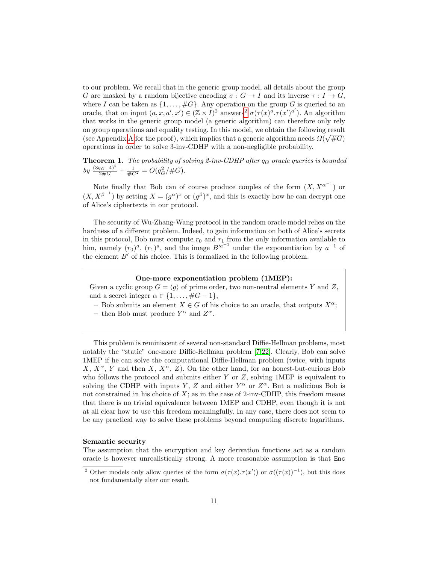to our problem. We recall that in the generic group model, all details about the group G are masked by a random bijective encoding  $\sigma : G \to I$  and its inverse  $\tau : I \to G$ , where I can be taken as  $\{1, \ldots, \#G\}$ . Any operation on the group G is queried to an oracle, that on input  $(a, x, a', x') \in (\mathbb{Z} \times I)^2$  $(a, x, a', x') \in (\mathbb{Z} \times I)^2$  answers<sup>2</sup>  $\sigma(\tau(x)^{\alpha} \cdot \tau(x')^{a'})$ . An algorithm that works in the generic group model (a generic algorithm) can therefore only rely on group operations and equality testing. In this model, we obtain the following result (see [A](#page-27-4)ppendix A for the proof), which implies that a generic algorithm needs  $\Omega(\sqrt{\#G})$ operations in order to solve 3-inv-CDHP with a non-negligible probability.

**Theorem 1.** The probability of solving 2-inv-CDHP after  $q_G$  oracle queries is bounded by  $\frac{(3q_G+4)^2}{2\#G}+\frac{1}{\#G^2}=O(q_G^2/\#G).$ 

Note finally that Bob can of course produce couples of the form  $(X, X^{\alpha^{-1}})$  or  $(X, X^{\beta^{-1}})$  by setting  $X = (g^{\alpha})^x$  or  $(g^{\beta})^x$ , and this is exactly how he can decrypt one of Alice's ciphertexts in our protocol.

The security of Wu-Zhang-Wang protocol in the random oracle model relies on the hardness of a different problem. Indeed, to gain information on both of Alice's secrets in this protocol, Bob must compute  $r_0$  and  $r_1$  from the only information available to him, namely  $(r_0)^a$ ,  $(r_1)^a$ , and the image  $B'^{a^{-1}}$  under the exponentiation by  $a^{-1}$  of the element  $B'$  of his choice. This is formalized in the following problem.

#### One-more exponentiation problem (1MEP):

Given a cyclic group  $G = \langle g \rangle$  of prime order, two non-neutral elements Y and Z, and a secret integer  $\alpha \in \{1, \ldots, \#G - 1\},\$ 

– Bob submits an element  $X \in G$  of his choice to an oracle, that outputs  $X^{\alpha}$ ;

– then Bob must produce  $Y^{\alpha}$  and  $Z^{\alpha}$ .

This problem is reminiscent of several non-standard Diffie-Hellman problems, most notably the "static" one-more Diffie-Hellman problem [\[7,](#page-26-15)[22\]](#page-26-16). Clearly, Bob can solve 1MEP if he can solve the computational Diffie-Hellman problem (twice, with inputs  $X, X^{\alpha}, Y$  and then  $X, X^{\alpha}, Z$ ). On the other hand, for an honest-but-curious Bob who follows the protocol and submits either  $Y$  or  $Z$ , solving 1MEP is equivalent to solving the CDHP with inputs Y, Z and either  $Y^{\alpha}$  or  $Z^{\alpha}$ . But a malicious Bob is not constrained in his choice of  $X$ ; as in the case of 2-inv-CDHP, this freedom means that there is no trivial equivalence between 1MEP and CDHP, even though it is not at all clear how to use this freedom meaningfully. In any case, there does not seem to be any practical way to solve these problems beyond computing discrete logarithms.

#### Semantic security

The assumption that the encryption and key derivation functions act as a random oracle is however unrealistically strong. A more reasonable assumption is that Enc

<span id="page-10-0"></span><sup>&</sup>lt;sup>2</sup> Other models only allow queries of the form  $\sigma(\tau(x), \tau(x'))$  or  $\sigma((\tau(x))^{-1})$ , but this does not fundamentally alter our result.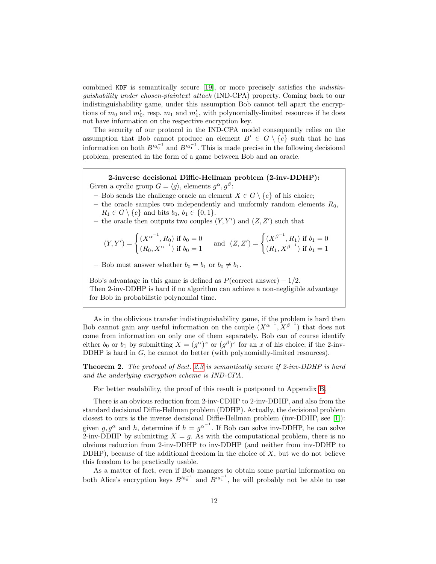combined KDF is semantically secure [\[19\]](#page-26-17), or more precisely satisfies the indistinguishability under chosen-plaintext attack (IND-CPA) property. Coming back to our indistinguishability game, under this assumption Bob cannot tell apart the encryptions of  $m_0$  and  $m'_0$ , resp.  $m_1$  and  $m'_1$ , with polynomially-limited resources if he does not have information on the respective encryption key.

The security of our protocol in the IND-CPA model consequently relies on the assumption that Bob cannot produce an element  $B' \in G \setminus \{e\}$  such that he has information on both  $B'^{a_0^{-1}}$  and  $B'^{a_1^{-1}}$ . This is made precise in the following decisional problem, presented in the form of a game between Bob and an oracle.

2-inverse decisional Diffie-Hellman problem (2-inv-DDHP): Given a cyclic group  $G = \langle g \rangle$ , elements  $g^{\alpha}, g^{\beta}$ :

– Bob sends the challenge oracle an element  $X \in G \setminus \{e\}$  of his choice;

- the oracle samples two independently and uniformly random elements  $R_0$ ,  $R_1 \in G \setminus \{e\}$  and bits  $b_0, b_1 \in \{0, 1\}.$
- the oracle then outputs two couples  $(Y, Y')$  and  $(Z, Z')$  such that

$$
(Y, Y') = \begin{cases} (X^{\alpha^{-1}}, R_0) \text{ if } b_0 = 0\\ (R_0, X^{\alpha^{-1}}) \text{ if } b_0 = 1 \end{cases} \text{ and } (Z, Z') = \begin{cases} (X^{\beta^{-1}}, R_1) \text{ if } b_1 = 0\\ (R_1, X^{\beta^{-1}}) \text{ if } b_1 = 1 \end{cases}
$$

– Bob must answer whether  $b_0 = b_1$  or  $b_0 \neq b_1$ .

Bob's advantage in this game is defined as  $P(\text{correct answer}) - 1/2$ . Then 2-inv-DDHP is hard if no algorithm can achieve a non-negligible advantage for Bob in probabilistic polynomial time.

As in the oblivious transfer indistinguishability game, if the problem is hard then Bob cannot gain any useful information on the couple  $(X^{\alpha^{-1}}, X^{\beta^{-1}})$  that does not come from information on only one of them separately. Bob can of course identify either  $b_0$  or  $b_1$  by submitting  $X = (g^{\alpha})^x$  or  $(g^{\beta})^x$  for an x of his choice; if the 2-inv-DDHP is hard in G, he cannot do better (with polynomially-limited resources).

<span id="page-11-0"></span>**Theorem 2.** The protocol of Sect. [2.3](#page-6-0) is semantically secure if 2-inv-DDHP is hard and the underlying encryption scheme is IND-CPA.

For better readability, the proof of this result is postponed to Appendix [B.](#page-28-0)

There is an obvious reduction from 2-inv-CDHP to 2-inv-DDHP, and also from the standard decisional Diffie-Hellman problem (DDHP). Actually, the decisional problem closest to ours is the inverse decisional Diffie-Hellman problem (inv-DDHP, see [\[1\]](#page-25-4)): given  $g, g^{\alpha}$  and h, determine if  $h = g^{\alpha^{-1}}$ . If Bob can solve inv-DDHP, he can solve 2-inv-DDHP by submitting  $X = g$ . As with the computational problem, there is no obvious reduction from 2-inv-DDHP to inv-DDHP (and neither from inv-DDHP to DDHP), because of the additional freedom in the choice of  $X$ , but we do not believe this freedom to be practically usable.

As a matter of fact, even if Bob manages to obtain some partial information on both Alice's encryption keys  $B'^{a_0^{-1}}$  and  $B'^{a_1^{-1}}$ , he will probably not be able to use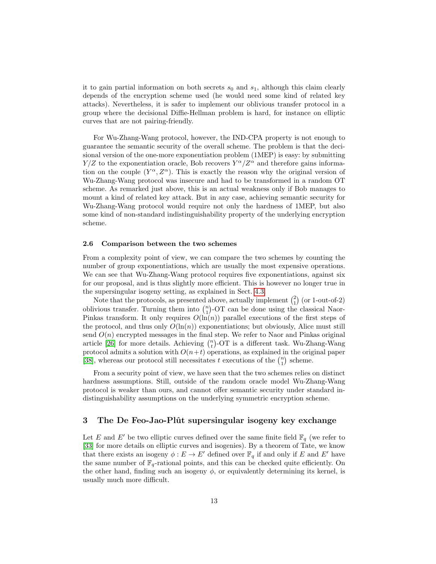it to gain partial information on both secrets  $s_0$  and  $s_1$ , although this claim clearly depends of the encryption scheme used (he would need some kind of related key attacks). Nevertheless, it is safer to implement our oblivious transfer protocol in a group where the decisional Diffie-Hellman problem is hard, for instance on elliptic curves that are not pairing-friendly.

For Wu-Zhang-Wang protocol, however, the IND-CPA property is not enough to guarantee the semantic security of the overall scheme. The problem is that the decisional version of the one-more exponentiation problem (1MEP) is easy: by submitting  $Y/Z$  to the exponentiation oracle, Bob recovers  $Y^{\alpha}/Z^{\alpha}$  and therefore gains information on the couple  $(Y^{\alpha}, Z^{\alpha})$ . This is exactly the reason why the original version of Wu-Zhang-Wang protocol was insecure and had to be transformed in a random OT scheme. As remarked just above, this is an actual weakness only if Bob manages to mount a kind of related key attack. But in any case, achieving semantic security for Wu-Zhang-Wang protocol would require not only the hardness of 1MEP, but also some kind of non-standard indistinguishability property of the underlying encryption scheme.

#### <span id="page-12-1"></span>2.6 Comparison between the two schemes

From a complexity point of view, we can compare the two schemes by counting the number of group exponentiations, which are usually the most expensive operations. We can see that Wu-Zhang-Wang protocol requires five exponentiations, against six for our proposal, and is thus slightly more efficient. This is however no longer true in the supersingular isogeny setting, as explained in Sect. [4.3.](#page-19-0)

Note that the protocols, as presented above, actually implement  $\binom{2}{1}$  (or 1-out-of-2) oblivious transfer. Turning them into  $\binom{n}{1}$ -OT can be done using the classical Naor-Pinkas transform. It only requires  $O(\ln(n))$  parallel executions of the first steps of the protocol, and thus only  $O(\ln(n))$  exponentiations; but obviously, Alice must still send  $O(n)$  encrypted messages in the final step. We refer to Naor and Pinkas original article [\[26\]](#page-26-18) for more details. Achieving  $\binom{n}{t}$ -OT is a different task. Wu-Zhang-Wang protocol admits a solution with  $O(n+t)$  operations, as explained in the original paper [\[38\]](#page-27-3), whereas our protocol still necessitates  $t$  executions of the  $\binom{n}{1}$  scheme.

From a security point of view, we have seen that the two schemes relies on distinct hardness assumptions. Still, outside of the random oracle model Wu-Zhang-Wang protocol is weaker than ours, and cannot offer semantic security under standard indistinguishability assumptions on the underlying symmetric encryption scheme.

# <span id="page-12-0"></span>3 The De Feo-Jao-Plût supersingular isogeny key exchange

Let E and E' be two elliptic curves defined over the same finite field  $\mathbb{F}_q$  (we refer to [\[33\]](#page-27-5) for more details on elliptic curves and isogenies). By a theorem of Tate, we know that there exists an isogeny  $\phi : E \to E'$  defined over  $\mathbb{F}_q$  if and only if E and E' have the same number of  $\mathbb{F}_q$ -rational points, and this can be checked quite efficiently. On the other hand, finding such an isogeny  $\phi$ , or equivalently determining its kernel, is usually much more difficult.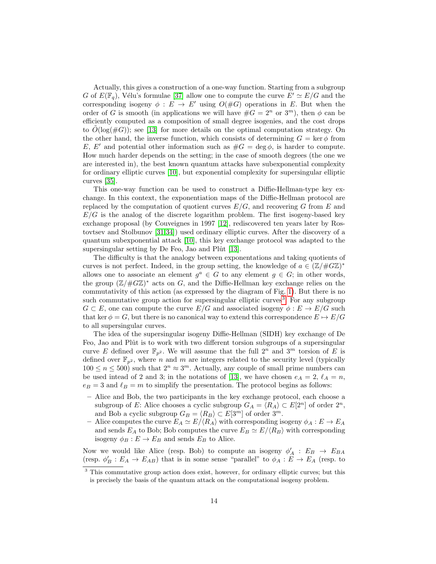Actually, this gives a construction of a one-way function. Starting from a subgroup G of  $E(\mathbb{F}_q)$ , Vélu's formulae [\[37\]](#page-27-6) allow one to compute the curve  $E' \simeq E/G$  and the corresponding isogeny  $\phi : E \to E'$  using  $O(\#G)$  operations in E. But when the order of G is smooth (in applications we will have  $\#G = 2^n$  or  $3^m$ ), then  $\phi$  can be efficiently computed as a composition of small degree isogenies, and the cost drops to  $O(\log(\#G))$ ; see [\[13\]](#page-26-4) for more details on the optimal computation strategy. On the other hand, the inverse function, which consists of determining  $G = \text{ker} \phi$  from E, E' and potential other information such as  $\#G = \deg \phi$ , is harder to compute. How much harder depends on the setting; in the case of smooth degrees (the one we are interested in), the best known quantum attacks have subexponential complexity for ordinary elliptic curves [\[10\]](#page-26-19), but exponential complexity for supersingular elliptic curves [\[35\]](#page-27-7).

This one-way function can be used to construct a Diffie-Hellman-type key exchange. In this context, the exponentiation maps of the Diffie-Hellman protocol are replaced by the computation of quotient curves  $E/G$ , and recovering G from E and  $E/G$  is the analog of the discrete logarithm problem. The first isogeny-based key exchange proposal (by Couveignes in 1997 [\[12\]](#page-26-20), rediscovered ten years later by Rostovtsev and Stolbunov [\[31,](#page-27-8)[34\]](#page-27-9)) used ordinary elliptic curves. After the discovery of a quantum subexponential attack [\[10\]](#page-26-19), this key exchange protocol was adapted to the supersingular setting by De Feo, Jao and Pl $\hat{u}$  [\[13\]](#page-26-4).

The difficulty is that the analogy between exponentations and taking quotients of curves is not perfect. Indeed, in the group setting, the knowledge of  $a \in (\mathbb{Z}/\#G\mathbb{Z})^*$ allows one to associate an element  $g^a \in G$  to any element  $g \in G$ ; in other words, the group  $(\mathbb{Z}/\#G\mathbb{Z})^*$  acts on G, and the Diffie-Hellman key exchange relies on the commutativity of this action (as expressed by the diagram of Fig. [1\)](#page-3-1). But there is no such commutative group action for supersingular elliptic curves<sup>[3](#page-13-0)</sup>. For any subgroup  $G \subset E$ , one can compute the curve  $E/G$  and associated isogeny  $\phi : E \to E/G$  such that ker  $\phi = G$ , but there is no canonical way to extend this correspondence  $E \mapsto E/G$ to all supersingular curves.

The idea of the supersingular isogeny Diffie-Hellman (SIDH) key exchange of De Feo, Jao and Plût is to work with two different torsion subgroups of a supersingular curve E defined over  $\mathbb{F}_{p^2}$ . We will assume that the full  $2^n$  and  $3^m$  torsion of E is defined over  $\mathbb{F}_{p^2}$ , where n and m are integers related to the security level (typically  $100 \le n \le 500$  such that  $2^n \approx 3^m$ . Actually, any couple of small prime numbers can be used intead of 2 and 3; in the notations of [\[13\]](#page-26-4), we have chosen  $e_A = 2$ ,  $\ell_A = n$ ,  $e_B = 3$  and  $\ell_B = m$  to simplify the presentation. The protocol begins as follows:

- Alice and Bob, the two participants in the key exchange protocol, each choose a subgroup of E: Alice chooses a cyclic subgroup  $G_A = \langle R_A \rangle \subset E[2^n]$  of order  $2^n$ , and Bob a cyclic subgroup  $G_B = \langle R_B \rangle \subset E[3^m]$  of order  $3^m$ .
- Alice computes the curve  $E_A \simeq E/(R_A)$  with corresponding isogeny  $\phi_A : E \to E_A$ and sends  $E_A$  to Bob; Bob computes the curve  $E_B \simeq E/\langle R_B \rangle$  with corresponding isogeny  $\phi_B : E \to E_B$  and sends  $E_B$  to Alice.

Now we would like Alice (resp. Bob) to compute an isogeny  $\phi'_A : E_B \to E_{BA}$ (resp.  $\phi'_B : E_A \to E_{AB}$ ) that is in some sense "parallel" to  $\phi_A : E \to E_A$  (resp. to

<span id="page-13-0"></span><sup>3</sup> This commutative group action does exist, however, for ordinary elliptic curves; but this is precisely the basis of the quantum attack on the computational isogeny problem.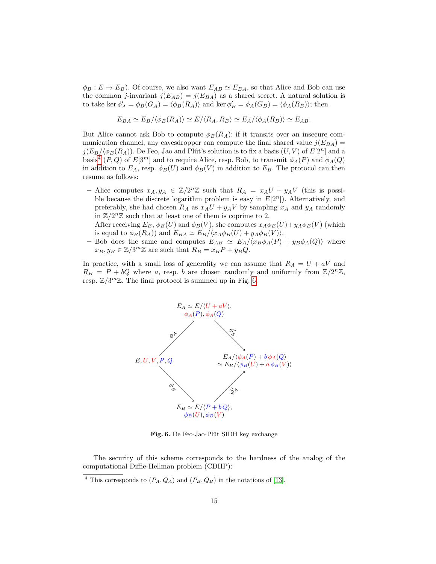$\phi_B : E \to E_B$ ). Of course, we also want  $E_{AB} \simeq E_{BA}$ , so that Alice and Bob can use the common *j*-invariant  $j(E_{AB}) = j(E_{BA})$  as a shared secret. A natural solution is to take ker  $\phi'_A = \phi_B(G_A) = \langle \phi_B(R_A) \rangle$  and ker  $\phi'_B = \phi_A(G_B) = \langle \phi_A(R_B) \rangle$ ; then

$$
E_{BA} \simeq E_B/\langle \phi_B(R_A) \rangle \simeq E/\langle R_A, R_B \rangle \simeq E_A/\langle \phi_A(R_B) \rangle \simeq E_{AB}.
$$

But Alice cannot ask Bob to compute  $\phi_B(R_A)$ : if it transits over an insecure communication channel, any eavesdropper can compute the final shared value  $j(E_{BA}) =$  $j(E_B/\langle \phi_B(R_A) \rangle)$ . De Feo, Jao and Plût's solution is to fix a basis  $(U, V)$  of  $E[2^n]$  and a basis<sup>[4](#page-14-0)</sup> (P, Q) of  $E[3^m]$  and to require Alice, resp. Bob, to transmit  $\phi_A(P)$  and  $\phi_A(Q)$ in addition to  $E_A$ , resp.  $\phi_B(U)$  and  $\phi_B(V)$  in addition to  $E_B$ . The protocol can then resume as follows:

- Alice computes  $x_A, y_A \in \mathbb{Z}/2^n\mathbb{Z}$  such that  $R_A = x_A U + y_A V$  (this is possible because the discrete logarithm problem is easy in  $E[2<sup>n</sup>]$ ). Alternatively, and preferably, she had chosen  $R_A$  as  $x_A U + y_A V$  by sampling  $x_A$  and  $y_A$  randomly in  $\mathbb{Z}/2^n\mathbb{Z}$  such that at least one of them is coprime to 2.

After receiving  $E_B$ ,  $\phi_B(U)$  and  $\phi_B(V)$ , she computes  $x_A \phi_B(U)+y_A \phi_B(V)$  (which is equal to  $\phi_B(R_A)$  and  $E_{BA} \simeq E_B/\langle x_A \phi_B(U) + y_A \phi_B(V) \rangle$ .

– Bob does the same and computes  $E_{AB} \simeq E_A/\langle x_B \phi_A(P) + y_B \phi_A(Q) \rangle$  where  $x_B, y_B \in \mathbb{Z}/3^m\mathbb{Z}$  are such that  $R_B = x_B P + y_B Q$ .

In practice, with a small loss of generality we can assume that  $R_A = U + aV$  and  $R_B = P + bQ$  where a, resp. b are chosen randomly and uniformly from  $\mathbb{Z}/2^n\mathbb{Z}$ , resp.  $\mathbb{Z}/3^m\mathbb{Z}$ . The final protocol is summed up in Fig. [6.](#page-14-1)



<span id="page-14-1"></span>Fig. 6. De Feo-Jao-Plût SIDH key exchange

The security of this scheme corresponds to the hardness of the analog of the computational Diffie-Hellman problem (CDHP):

<span id="page-14-0"></span><sup>&</sup>lt;sup>4</sup> This corresponds to  $(P_A, Q_A)$  and  $(P_B, Q_B)$  in the notations of [\[13\]](#page-26-4).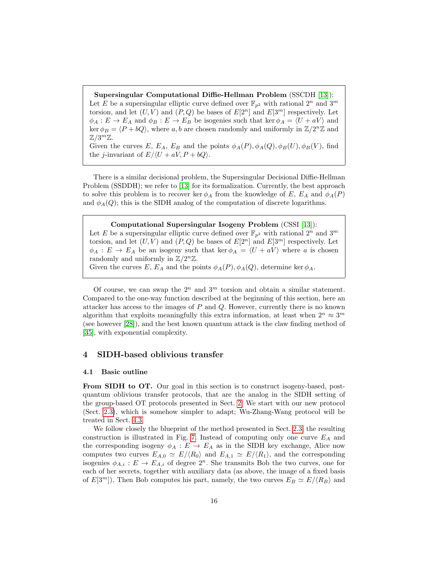Supersingular Computational Diffie-Hellman Problem (SSCDH [\[13\]](#page-26-4)): Let E be a supersingular elliptic curve defined over  $\mathbb{F}_{p^2}$  with rational  $2^n$  and  $3^m$ torsion, and let  $(U, V)$  and  $(P, Q)$  be bases of  $E[2<sup>n</sup>]$  and  $E[3<sup>m</sup>]$  respectively. Let  $\phi_A : E \to E_A$  and  $\phi_B : E \to E_B$  be isogenies such that ker  $\phi_A = \langle U + aV \rangle$  and ker  $\phi_B = \langle P + bQ \rangle$ , where a, b are chosen randomly and uniformly in  $\mathbb{Z}/2^n\mathbb{Z}$  and  $\mathbb{Z}/3^m\mathbb{Z}$ .

Given the curves E,  $E_A$ ,  $E_B$  and the points  $\phi_A(P), \phi_A(Q), \phi_B(U), \phi_B(V)$ , find the *j*-invariant of  $E/\langle U + aV, P + bQ \rangle$ .

There is a similar decisional problem, the Supersingular Decisional Diffie-Hellman Problem (SSDDH); we refer to [\[13\]](#page-26-4) for its formalization. Currently, the best approach to solve this problem is to recover ker  $\phi_A$  from the knowledge of E,  $E_A$  and  $\phi_A(P)$ and  $\phi_A(Q)$ ; this is the SIDH analog of the computation of discrete logarithms.

#### Computational Supersingular Isogeny Problem (CSSI [\[13\]](#page-26-4)):

Let E be a supersingular elliptic curve defined over  $\mathbb{F}_{p^2}$  with rational  $2^n$  and  $3^m$ torsion, and let  $(U, V)$  and  $(P, Q)$  be bases of  $E[2<sup>n</sup>]$  and  $E[3<sup>m</sup>]$  respectively. Let  $\phi_A : E \to E_A$  be an isogeny such that ker  $\phi_A = \langle U + aV \rangle$  where a is chosen randomly and uniformly in  $\mathbb{Z}/2^n\mathbb{Z}$ . Given the curves E,  $E_A$  and the points  $\phi_A(P), \phi_A(Q)$ , determine ker  $\phi_A$ .

Of course, we can swap the  $2^n$  and  $3^m$  torsion and obtain a similar statement. Compared to the one-way function described at the beginning of this section, here an attacker has access to the images of  $P$  and  $Q$ . However, currently there is no known algorithm that exploits meaningfully this extra information, at least when  $2^n \approx 3^m$ (see however [\[28\]](#page-27-10)), and the best known quantum attack is the claw finding method of [\[35\]](#page-27-7), with exponential complexity.

# <span id="page-15-0"></span>4 SIDH-based oblivious transfer

#### 4.1 Basic outline

From SIDH to OT. Our goal in this section is to construct isogeny-based, postquantum oblivious transfer protocols, that are the analog in the SIDH setting of the group-based OT protocols presented in Sect. [2.](#page-2-0) We start with our new protocol (Sect. [2.3\)](#page-6-0), which is somehow simpler to adapt; Wu-Zhang-Wang protocol will be treated in Sect. [4.3.](#page-19-0)

We follow closely the blueprint of the method presented in Sect. [2.3;](#page-6-0) the resulting construction is illustrated in Fig. [7.](#page-16-0) Instead of computing only one curve  $E_A$  and the corresponding isogeny  $\phi_A : E \to E_A$  as in the SIDH key exchange, Alice now computes two curves  $E_{A,0} \simeq E/\langle R_0 \rangle$  and  $E_{A,1} \simeq E/\langle R_1 \rangle$ , and the corresponding isogenies  $\phi_{A,i}: E \to E_{A,i}$  of degree  $2^n$ . She transmits Bob the two curves, one for each of her secrets, together with auxiliary data (as above, the image of a fixed basis of  $E[3^m]$ ). Then Bob computes his part, namely, the two curves  $E_B \simeq E/\langle R_B \rangle$  and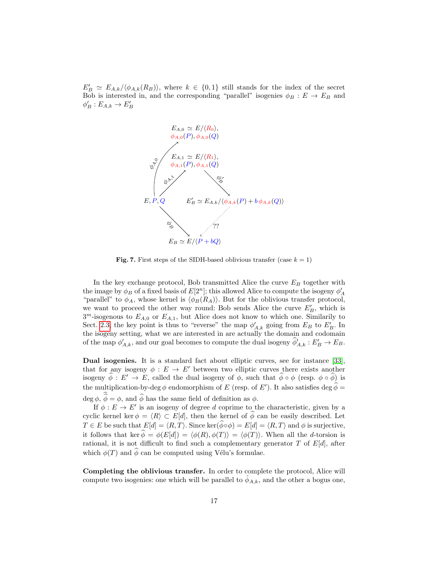$E'_B \simeq E_{A,k}/\langle \phi_{A,k}(R_B) \rangle$ , where  $k \in \{0,1\}$  still stands for the index of the secret Bob is interested in, and the corresponding "parallel" isogenies  $\phi_B : E \to E_B$  and  $\phi'_B : E_{A,k} \to E'_B$ 



<span id="page-16-0"></span>**Fig. 7.** First steps of the SIDH-based oblivious transfer (case  $k = 1$ )

In the key exchange protocol, Bob transmitted Alice the curve  $E_B$  together with the image by  $\phi_B$  of a fixed basis of  $E[2^n]$ ; this allowed Alice to compute the isogeny  $\phi'_A$ "parallel" to  $\phi_A$ , whose kernel is  $\langle \phi_B(R_A) \rangle$ . But for the oblivious transfer protocol, we want to proceed the other way round: Bob sends Alice the curve  $E'_B$ , which is  $3^m$ -isogenous to  $E_{A,0}$  or  $E_{A,1}$ , but Alice does not know to which one. Similarily to Sect. [2.3,](#page-6-0) the key point is thus to "reverse" the map  $\phi'_{A,k}$  going from  $E_B$  to  $E'_B$ . In the isogeny setting, what we are interested in are actually the domain and codomain of the map  $\phi'_{A,k}$ , and our goal becomes to compute the dual isogeny  $\widehat{\phi}'_{A,k} : E'_B \to E_B$ .

Dual isogenies. It is a standard fact about elliptic curves, see for instance [\[33\]](#page-27-5), that for any isogeny  $\phi : E \to E'$  between two elliptic curves there exists another isogeny  $\phi : E' \to E$ , called the dual isogeny of  $\phi$ , such that  $\phi \circ \phi$  (resp.  $\phi \circ \phi$ ) is the multiplication-by-deg  $\phi$  endomorphism of E (resp. of E'). It also satisfies deg  $\hat{\phi} = \hat{\phi}$ 

deg  $\phi$ ,  $\phi = \phi$ , and  $\phi$  has the same field of definition as  $\phi$ . If  $\phi: E \to E'$  is an isogeny of degree d coprime to the characteristic, given by a cyclic kernel ker  $\phi = \langle R \rangle \subset E[d]$ , then the kernel of  $\hat{\phi}$  can be easily described. Let  $T \in E$  be such that  $E[d] = \langle R, T \rangle$ . Since ker $(\widehat{\phi} \circ \phi) = E[d] = \langle R, T \rangle$  and  $\phi$  is surjective, it follows that ker  $\hat{\phi} = \phi(E[d]) = \langle \phi(R), \phi(T) \rangle = \langle \phi(T) \rangle$ . When all the d-torsion is rational, it is not difficult to find such a complementary generator  $T$  of  $E[d]$ , after which  $\phi(T)$  and  $\hat{\phi}$  can be computed using Vélu's formulae.

Completing the oblivious transfer. In order to complete the protocol, Alice will compute two isogenies: one which will be parallel to  $\phi_{A,k}$ , and the other a bogus one,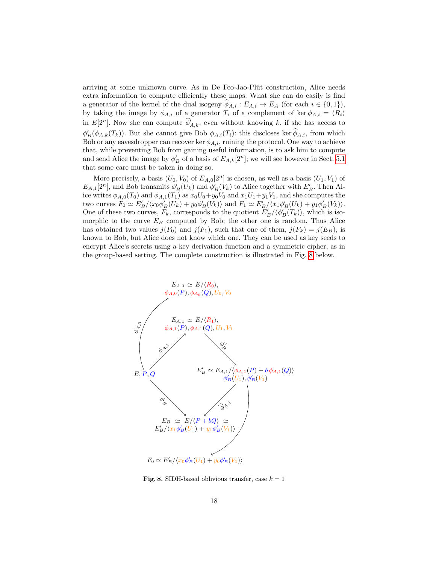arriving at some unknown curve. As in De Feo-Jao-Plût construction, Alice needs extra information to compute efficiently these maps. What she can do easily is find a generator of the kernel of the dual isogeny  $\phi_{A,i} : E_{A,i} \to E_A$  (for each  $i \in \{0,1\}$ ), by taking the image by  $\phi_{A,i}$  of a generator  $T_i$  of a complement of ker  $\phi_{A,i} = \langle R_i \rangle$ in  $E[2^n]$ . Now she can compute  $\widehat{\phi}'_{A,k}$ , even without knowing k, if she has access to  $\phi'_B(\phi_{A,k}(T_k))$ . But she cannot give Bob  $\phi_{A,i}(T_i)$ : this discloses ker  $\widehat{\phi}_{A,i}$ , from which Bob or any eavesdropper can recover ker  $\phi_{A,i}$ , ruining the protocol. One way to achieve that, while preventing Bob from gaining useful information, is to ask him to compute and send Alice the image by  $\phi'_B$  of a basis of  $E_{A,k}[2^n]$ ; we will see however in Sect. [5.1](#page-21-0) that some care must be taken in doing so.

More precisely, a basis  $(U_0, V_0)$  of  $E_{A,0}[2^n]$  is chosen, as well as a basis  $(U_1, V_1)$  of  $E_{A,1}[2^n]$ , and Bob transmits  $\phi'_B(U_k)$  and  $\phi'_B(V_k)$  to Alice together with  $E'_B$ . Then Alice writes  $\phi_{A,0}(T_0)$  and  $\phi_{A,1}(T_1)$  as  $x_0U_0+y_0V_0$  and  $x_1U_1+y_1V_1$ , and she computes the two curves  $F_0 \simeq E'_B / \langle x_0 \phi'_B(U_k) + y_0 \phi'_B(V_k) \rangle$  and  $F_1 \simeq E'_B / \langle x_1 \phi'_B(U_k) + y_1 \phi'_B(V_k) \rangle$ . One of these two curves,  $F_k$ , corresponds to the quotient  $E'_B/\langle \phi'_B(T_k) \rangle$ , which is isomorphic to the curve  $E_B$  computed by Bob; the other one is random. Thus Alice has obtained two values  $j(F_0)$  and  $j(F_1)$ , such that one of them,  $j(F_k) = j(E_B)$ , is known to Bob, but Alice does not know which one. They can be used as key seeds to encrypt Alice's secrets using a key derivation function and a symmetric cipher, as in the group-based setting. The complete construction is illustrated in Fig. [8](#page-17-0) below.



<span id="page-17-0"></span>Fig. 8. SIDH-based oblivious transfer, case  $k = 1$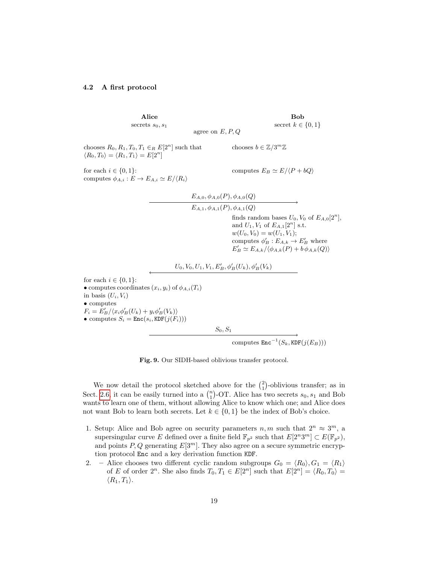#### <span id="page-18-0"></span>4.2 A first protocol

Alice secrets  $s_0, s_1$ 

Bob secret  $k \in \{0, 1\}$ 

agree on  $E, P, Q$ 

chooses  $R_0, R_1, T_0, T_1 \in_R E[2^n]$  such that  $\langle R_0, T_0 \rangle = \langle R_1, T_1 \rangle = E[2^n]$ 

for each  $i \in \{0, 1\}$ : computes  $E_B \simeq E/\langle P + bQ \rangle$ computes  $\phi_{A,i}: E \to E_{A,i} \simeq E/\langle R_i \rangle$ 

chooses  $b \in \mathbb{Z}/3^m \mathbb{Z}$ 

$$
E_{A,0}, \phi_{A,0}(P), \phi_{A,0}(Q)
$$
\n
$$
E_{A,1}, \phi_{A,1}(P), \phi_{A,1}(Q)
$$
\nfinds random bases  $U_0, V_0$  of  $E_{A,0}[2^n]$ ,  
\nand  $U_1, V_1$  of  $E_{A,1}[2^n]$  s.t.  
\n
$$
w(U_0, V_0) = w(U_1, V_1);
$$
\ncomputes  $\phi'_B : E_{A,k} \to E'_B$  where  
\n $E'_B \simeq E_{A,k}/\langle \phi_{A,k}(P) + b \phi_{A,k}(Q) \rangle$   
\nfor each  $i \in \{0, 1\}$ :  
\n• computes coordinates  $(x_i, y_i)$  of  $\phi_{A,i}(T_i)$   
\nin basis  $(U_i, V_i)$   
\n• computes  
\n $F_i = E'_B / \langle x_i \phi'_B(U_k) + y_i \phi'_B(V_k) \rangle$ 

• computes  $S_i = \text{Enc}(s_i, \text{KDF}(j(F_i)))$ 

in basis (

 $S_0, S_1$ 

computes  $\texttt{Enc}^{-1}(S_k, \texttt{KDF}(j(E_B)))$ 

Fig. 9. Our SIDH-based oblivious transfer protocol.

We now detail the protocol sketched above for the  $\binom{2}{1}$ -oblivious transfer; as in Sect. [2.6,](#page-12-1) it can be easily turned into a  $\binom{n}{1}$ -OT. Alice has two secrets  $s_0, s_1$  and Bob wants to learn one of them, without allowing Alice to know which one; and Alice does not want Bob to learn both secrets. Let  $k \in \{0,1\}$  be the index of Bob's choice.

- 1. Setup: Alice and Bob agree on security parameters  $n, m$  such that  $2^n \approx 3^m$ , a supersingular curve E defined over a finite field  $\mathbb{F}_{p^2}$  such that  $E[2^n 3^m] \subset E(\mathbb{F}_{p^2}),$ and points  $P, Q$  generating  $E[3^m]$ . They also agree on a secure symmetric encryption protocol Enc and a key derivation function KDF.
- 2. Alice chooses two different cyclic random subgroups  $G_0 = \langle R_0 \rangle, G_1 = \langle R_1 \rangle$ of E of order  $2^n$ . She also finds  $T_0, T_1 \in E[2^n]$  such that  $E[2^n] = \langle R_0, T_0 \rangle =$  $\langle R_1, T_1 \rangle$ .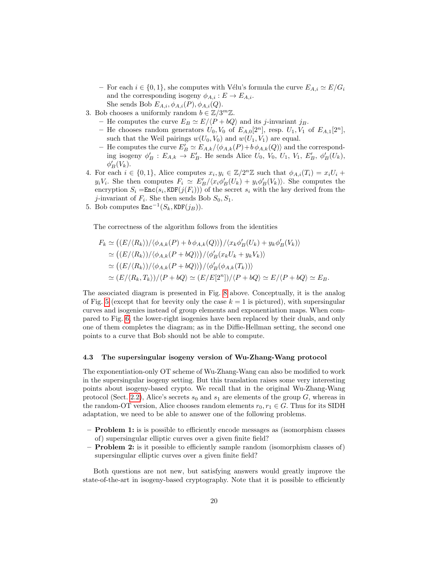- For each  $i \in \{0, 1\}$ , she computes with Vélu's formula the curve  $E_{A,i} \simeq E/G_i$ and the corresponding isogeny  $\phi_{A,i}: E \to E_{A,i}.$ She sends Bob  $E_{A,i}, \phi_{A,i}(P), \phi_{A,i}(Q)$ .
- 3. Bob chooses a uniformly random  $b \in \mathbb{Z}/3^m \mathbb{Z}$ .
	- He computes the curve  $E_B \simeq E/\langle P + bQ \rangle$  and its *j*-invariant  $j_B$ .
	- He chooses random generators  $U_0$ ,  $V_0$  of  $E_{A,0}[2^n]$ , resp.  $U_1$ ,  $V_1$  of  $E_{A,1}[2^n]$ , such that the Weil pairings  $w(U_0, V_0)$  and  $w(U_1, V_1)$  are equal.
	- He computes the curve  $E'_B \simeq E_{A,k}/\langle \phi_{A,k}(P)+b\,\phi_{A,k}(Q)\rangle$  and the corresponding isogeny  $\phi'_B : E_{A,k} \to E'_B$ . He sends Alice  $U_0, V_0, U_1, V_1, E'_B, \phi'_B(U_k)$ ,  $\phi'_B(V_k)$ .
- 4. For each  $i \in \{0,1\}$ , Alice computes  $x_i, y_i \in \mathbb{Z}/2^n\mathbb{Z}$  such that  $\phi_{A,i}(T_i) = x_i U_i +$  $y_iV_i$ . She then computes  $F_i \simeq E'_B/\langle x_i\phi'_B(U_k) + y_i\phi'_B(V_k) \rangle$ . She computes the encryption  $S_i = \text{Enc}(s_i, \text{KDF}(j(F_i)))$  of the secret  $s_i$  with the key derived from the *j*-invariant of  $F_i$ . She then sends Bob  $S_0, S_1$ .
- 5. Bob computes  $\text{Enc}^{-1}(S_k, \text{KDF}(j_B)).$

The correctness of the algorithm follows from the identities

$$
F_k \simeq ((E/\langle R_k \rangle)/\langle \phi_{A,k}(P) + b \phi_{A,k}(Q) \rangle)/\langle x_k \phi'_B(U_k) + y_k \phi'_B(V_k) \rangle
$$
  
\simeq ((E/\langle R\_k \rangle)/\langle \phi\_{A,k}(P + bQ) \rangle)/\langle \phi'\_B(x\_k U\_k + y\_k V\_k) \rangle  
\simeq ((E/\langle R\_k \rangle)/\langle \phi\_{A,k}(P + bQ) \rangle)/\langle \phi'\_B(\phi\_{A,k}(T\_k)) \rangle  
\simeq (E/\langle R\_k, T\_k \rangle)/\langle P + bQ \rangle \simeq (E/E[2^n])/\langle P + bQ \rangle \simeq E/\langle P + bQ \rangle \simeq E\_B.

The associated diagram is presented in Fig. [8](#page-17-0) above. Conceptually, it is the analog of Fig. [5](#page-7-1) (except that for brevity only the case  $k = 1$  is pictured), with supersingular curves and isogenies instead of group elements and exponentiation maps. When compared to Fig. [6,](#page-14-1) the lower-right isogenies have been replaced by their duals, and only one of them completes the diagram; as in the Diffie-Hellman setting, the second one points to a curve that Bob should not be able to compute.

#### <span id="page-19-0"></span>4.3 The supersingular isogeny version of Wu-Zhang-Wang protocol

The exponentiation-only OT scheme of Wu-Zhang-Wang can also be modified to work in the supersingular isogeny setting. But this translation raises some very interesting points about isogeny-based crypto. We recall that in the original Wu-Zhang-Wang protocol (Sect. [2.2\)](#page-3-0), Alice's secrets  $s_0$  and  $s_1$  are elements of the group G, whereas in the random-OT version, Alice chooses random elements  $r_0, r_1 \in G$ . Thus for its SIDH adaptation, we need to be able to answer one of the following problems.

- Problem 1: is is possible to efficiently encode messages as (isomorphism classes of) supersingular elliptic curves over a given finite field?
- Problem 2: is it possible to efficiently sample random (isomorphism classes of) supersingular elliptic curves over a given finite field?

Both questions are not new, but satisfying answers would greatly improve the state-of-the-art in isogeny-based cryptography. Note that it is possible to efficiently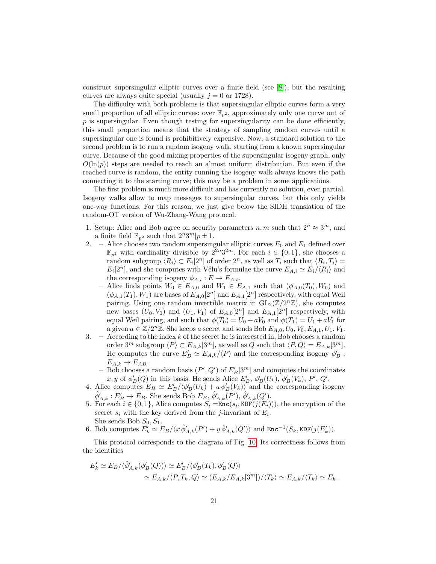construct supersingular elliptic curves over a finite field (see [\[8\]](#page-26-21)), but the resulting curves are always quite special (usually  $j = 0$  or 1728).

The difficulty with both problems is that supersingular elliptic curves form a very small proportion of all elliptic curves: over  $\mathbb{F}_{p^2}$ , approximately only one curve out of  $p$  is supersingular. Even though testing for supersingularity can be done efficiently, this small proportion means that the strategy of sampling random curves until a supersingular one is found is prohibitively expensive. Now, a standard solution to the second problem is to run a random isogeny walk, starting from a known supersingular curve. Because of the good mixing properties of the supersingular isogeny graph, only  $O(\ln(p))$  steps are needed to reach an almost uniform distribution. But even if the reached curve is random, the entity running the isogeny walk always knows the path connecting it to the starting curve; this may be a problem in some applications.

The first problem is much more difficult and has currently no solution, even partial. Isogeny walks allow to map messages to supersingular curves, but this only yields one-way functions. For this reason, we just give below the SIDH translation of the random-OT version of Wu-Zhang-Wang protocol.

- 1. Setup: Alice and Bob agree on security parameters  $n, m$  such that  $2^n \approx 3^m$ , and a finite field  $\mathbb{F}_{p^2}$  such that  $2^n 3^m | p \pm 1$ .
- 2. Alice chooses two random supersingular elliptic curves  $E_0$  and  $E_1$  defined over  $\mathbb{F}_{p^2}$  with cardinality divisible by  $2^{2n}3^{2m}$ . For each  $i \in \{0,1\}$ , she chooses a random subgroup  $\langle R_i \rangle \subset E_i[2^n]$  of order  $2^n$ , as well as  $T_i$  such that  $\langle R_i, T_i \rangle =$  $E_i[2^n]$ , and she computes with Vélu's formulae the curve  $E_{A,i} \simeq E_i/\langle R_i \rangle$  and the corresponding isogeny  $\phi_{A,i}: E \to E_{A,i}.$ 
	- Alice finds points  $W_0 \in E_{A,0}$  and  $W_1 \in E_{A,1}$  such that  $(\phi_{A,0}(T_0), W_0)$  and  $(\phi_{A,1}(T_1), W_1)$  are bases of  $E_{A,0}[2^n]$  and  $E_{A,1}[2^n]$  respectively, with equal Weil pairing. Using one random invertible matrix in  $GL_2(\mathbb{Z}/2^n\mathbb{Z})$ , she computes new bases  $(U_0, V_0)$  and  $(U_1, V_1)$  of  $E_{A,0}[2^n]$  and  $E_{A,1}[2^n]$  respectively, with equal Weil pairing, and such that  $\phi(T_0) = U_0 + aV_0$  and  $\phi(T_1) = U_1 + aV_1$  for a given  $a \in \mathbb{Z}/2^n\mathbb{Z}$ . She keeps a secret and sends Bob  $E_{A,0}, U_0, V_0, E_{A,1}, U_1, V_1$ .
- 3. According to the index  $k$  of the secret he is interested in, Bob chooses a random order  $3^m$  subgroup  $\langle P \rangle \subset E_{A,k}[3^m]$ , as well as  $Q$  such that  $\langle P, Q \rangle = E_{A,k}[3^m]$ . He computes the curve  $E'_B \simeq E_{A,k}/\langle P \rangle$  and the corresponding isogeny  $\phi'_B$ :  $E_{A,k} \to E_{AB}.$ 
	- Bob chooses a random basis  $(P', Q')$  of  $E'_B[3^m]$  and computes the coordinates x, y of  $\phi'_B(Q)$  in this basis. He sends Alice  $E'_B$ ,  $\phi'_B(U_k)$ ,  $\phi'_B(V_k)$ , P', Q'.
- 4. Alice computes  $E_B \simeq E'_B / \langle \phi'_B(U_k) + a \phi'_B(V_k) \rangle$  and the corresponding isogeny  $\hat{\phi}'_{A,k}: E'_B \to E_B$ . She sends Bob  $E_B$ ,  $\hat{\phi}'_{A,k}(P')$ ,  $\hat{\phi}'_{A,k}(Q')$ .
- 5. For each  $i \in \{0,1\}$ , Alice computes  $S_i = \text{Enc}(s_i, \text{KDF}(j(E_i)))$ , the encryption of the secret  $s_i$  with the key derived from the *j*-invariant of  $E_i$ . She sends Bob  $S_0, S_1$ .
- 6. Bob computes  $E'_k \simeq E_B/\langle x \hat{\phi}'_{A,k}(P') + y \hat{\phi}'_{A,k}(Q') \rangle$  and  $\text{Enc}^{-1}(S_k, \text{KDF}(j(E'_k)).$

This protocol corresponds to the diagram of Fig. [10.](#page-21-1) Its correctness follows from the identities

$$
E'_{k} \simeq E_{B}/\langle \hat{\phi}'_{A,k}(\phi'_{B}(Q)) \rangle \simeq E'_{B}/\langle \phi'_{B}(T_{k}), \phi'_{B}(Q) \rangle
$$
  

$$
\simeq E_{A,k}/\langle P, T_{k}, Q \rangle \simeq (E_{A,k}/E_{A,k}[3^{m}])/\langle T_{k} \rangle \simeq E_{A,k}/\langle T_{k} \rangle \simeq E_{k}.
$$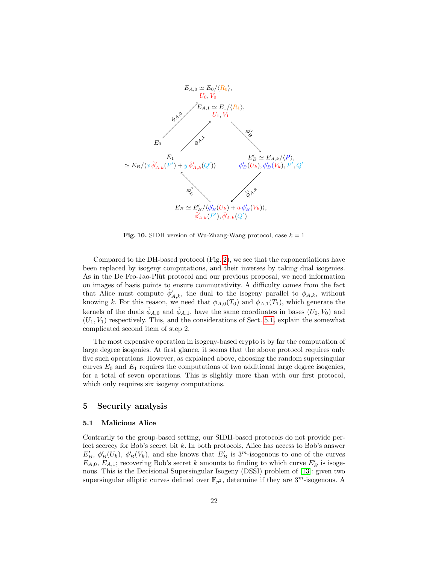

<span id="page-21-1"></span>**Fig. 10.** SIDH version of Wu-Zhang-Wang protocol, case  $k = 1$ 

Compared to the DH-based protocol (Fig. [2\)](#page-4-0), we see that the exponentiations have been replaced by isogeny computations, and their inverses by taking dual isogenies. As in the De Feo-Jao-Plût protocol and our previous proposal, we need information on images of basis points to ensure commutativity. A difficulty comes from the fact that Alice must compute  $\hat{\phi}'_{A,k}$ , the dual to the isogeny parallel to  $\phi_{A,k}$ , without knowing k. For this reason, we need that  $\phi_{A,0}(T_0)$  and  $\phi_{A,1}(T_1)$ , which generate the kernels of the duals  $\hat{\phi}_{A,0}$  and  $\hat{\phi}_{A,1}$ , have the same coordinates in bases  $(U_0, V_0)$  and  $(U_1, V_1)$  respectively. This, and the considerations of Sect. [5.1,](#page-21-0) explain the somewhat complicated second item of step 2.

The most expensive operation in isogeny-based crypto is by far the computation of large degree isogenies. At first glance, it seems that the above protocol requires only five such operations. However, as explained above, choosing the random supersingular curves  $E_0$  and  $E_1$  requires the computations of two additional large degree isogenies, for a total of seven operations. This is slightly more than with our first protocol, which only requires six isogeny computations.

#### 5 Security analysis

#### <span id="page-21-0"></span>5.1 Malicious Alice

Contrarily to the group-based setting, our SIDH-based protocols do not provide perfect secrecy for Bob's secret bit  $k$ . In both protocols, Alice has access to Bob's answer  $E'_B$ ,  $\phi'_B(U_k)$ ,  $\phi'_B(V_k)$ , and she knows that  $E'_B$  is 3<sup>m</sup>-isogenous to one of the curves  $E_{A,0}, E_{A,1}$ ; recovering Bob's secret k amounts to finding to which curve  $E'_B$  is isogenous. This is the Decisional Supersingular Isogeny (DSSI) problem of [\[13\]](#page-26-4): given two supersingular elliptic curves defined over  $\mathbb{F}_{p^2}$ , determine if they are  $3^m$ -isogenous. A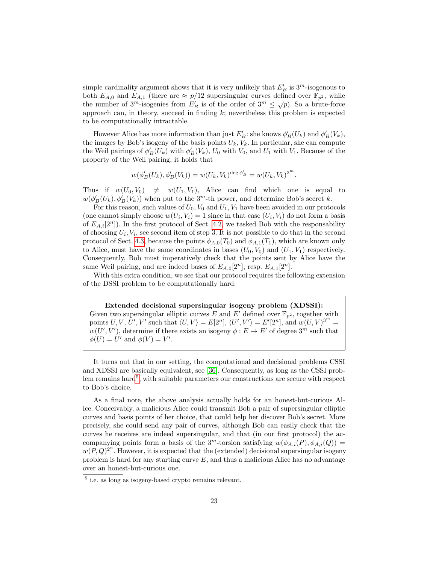simple cardinality argument shows that it is very unlikely that  $E'_B$  is  $3^m$ -isogenous to both  $E_{A,0}$  and  $E_{A,1}$  (there are  $\approx p/12$  supersingular curves defined over  $\mathbb{F}_{p^2}$ , while both  $L_{A,0}$  and  $L_{A,1}$  (there are  $\approx p/12$  supersingular curves defined over  $\mathbb{F}_{p^2}^*$ , while<br>the number of  $3^m$ -isogenies from  $E'_B$  is of the order of  $3^m \leq \sqrt{p}$ ). So a brute-force approach can, in theory, succeed in finding  $k$ ; nevertheless this problem is expected to be computationally intractable.

However Alice has more information than just  $E'_B$ : she knows  $\phi'_B(U_k)$  and  $\phi'_B(V_k)$ , the images by Bob's isogeny of the basis points  $U_k$ ,  $V_k$ . In particular, she can compute the Weil pairings of  $\phi'_B(U_k)$  with  $\phi'_B(V_k)$ ,  $U_0$  with  $V_0$ , and  $U_1$  with  $V_1$ . Because of the property of the Weil pairing, it holds that

$$
w(\phi'_B(U_k), \phi'_B(V_k)) = w(U_k, V_k)^{\deg \phi'_B} = w(U_k, V_k)^{3^m}.
$$

Thus if  $w(U_0, V_0) \neq w(U_1, V_1)$ , Alice can find which one is equal to  $w(\phi'_B(U_k), \phi'_B(V_k))$  when put to the 3<sup>m</sup>-th power, and determine Bob's secret k.

For this reason, such values of  $U_0$ ,  $V_0$  and  $U_1$ ,  $V_1$  have been avoided in our protocols (one cannot simply choose  $w(U_i, V_i) = 1$  since in that case  $(U_i, V_i)$  do not form a basis of  $E_{A,i}[2^n]$ ). In the first protocol of Sect. [4.2,](#page-18-0) we tasked Bob with the responsability of choosing  $U_i, V_i$ , see second item of step 3. It is not possible to do that in the second protocol of Sect. [4.3,](#page-19-0) because the points  $\phi_{A,0}(T_0)$  and  $\phi_{A,1}(T_1)$ , which are known only to Alice, must have the same coordinates in bases  $(U_0, V_0)$  and  $(U_1, V_1)$  respectively. Consequently, Bob must imperatively check that the points sent by Alice have the same Weil pairing, and are indeed bases of  $E_{A,0}[2^n]$ , resp.  $E_{A,1}[2^n]$ .

With this extra condition, we see that our protocol requires the following extension of the DSSI problem to be computationally hard:

#### Extended decisional supersingular isogeny problem (XDSSI):

Given two supersingular elliptic curves E and E' defined over  $\mathbb{F}_{n^2}$ , together with points U, V, U', V' such that  $\langle U, V \rangle = E[2^n], \langle U', V' \rangle = E'[2^n], \text{ and } w(U, V)^{3^m} =$  $w(U', V')$ , determine if there exists an isogeny  $\phi : E \to E'$  of degree 3<sup>m</sup> such that  $\phi(U) = U'$  and  $\phi(V) = V'$ .

It turns out that in our setting, the computational and decisional problems CSSI and XDSSI are basically equivalent, see [\[36\]](#page-27-11). Consequently, as long as the CSSI prob-lem remains hard<sup>[5](#page-22-0)</sup>, with suitable parameters our constructions are secure with respect to Bob's choice.

As a final note, the above analysis actually holds for an honest-but-curious Alice. Conceivably, a malicious Alice could transmit Bob a pair of supersingular elliptic curves and basis points of her choice, that could help her discover Bob's secret. More precisely, she could send any pair of curves, although Bob can easily check that the curves he receives are indeed supersingular, and that (in our first protocol) the accompanying points form a basis of the 3<sup>m</sup>-torsion satisfying  $w(\phi_{A,i}(P), \phi_{A,i}(Q)) =$  $w(P,Q)^{2^n}$ . However, it is expected that the (extended) decisional supersingular isogeny problem is hard for any starting curve  $E$ , and thus a malicious Alice has no advantage over an honest-but-curious one.

<span id="page-22-0"></span><sup>&</sup>lt;sup>5</sup> i.e. as long as isogeny-based crypto remains relevant.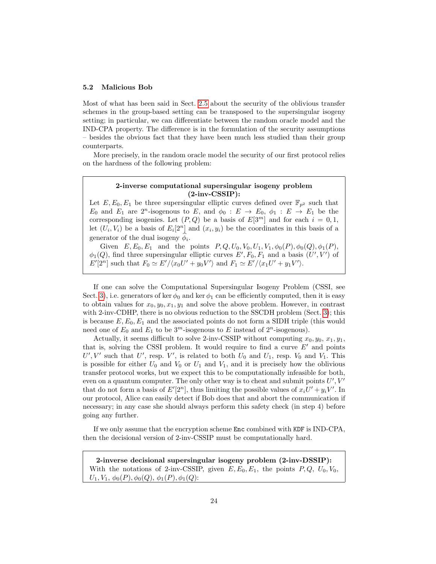#### 5.2 Malicious Bob

Most of what has been said in Sect. [2.5](#page-8-0) about the security of the oblivious transfer schemes in the group-based setting can be transposed to the supersingular isogeny setting; in particular, we can differentiate between the random oracle model and the IND-CPA property. The difference is in the formulation of the security assumptions – besides the obvious fact that they have been much less studied than their group counterparts.

More precisely, in the random oracle model the security of our first protocol relies on the hardness of the following problem:

### 2-inverse computational supersingular isogeny problem  $(2\text{-}inv\text{-}CSSIP)$ :

Let  $E, E_0, E_1$  be three supersingular elliptic curves defined over  $\mathbb{F}_{p^2}$  such that  $E_0$  and  $E_1$  are  $2^n$ -isogenous to E, and  $\phi_0 : E \to E_0$ ,  $\phi_1 : E \to E_1$  be the corresponding isogenies. Let  $(P,Q)$  be a basis of  $E[3^m]$  and for each  $i = 0,1$ , let  $(U_i, V_i)$  be a basis of  $E_i[2^n]$  and  $(x_i, y_i)$  be the coordinates in this basis of a generator of the dual isogeny  $\phi_i$ .

Given  $E, E_0, E_1$  and the points  $P, Q, U_0, V_0, U_1, V_1, \phi_0(P), \phi_0(Q), \phi_1(P),$  $\phi_1(Q)$ , find three supersingular elliptic curves  $E', F_0, F_1$  and a basis  $(U', V')$  of  $E'[2^n]$  such that  $F_0 \simeq E'/\langle x_0 U' + y_0 V' \rangle$  and  $F_1 \simeq E'/\langle x_1 U' + y_1 V' \rangle$ .

If one can solve the Computational Supersingular Isogeny Problem (CSSI, see Sect. [3\)](#page-12-0), i.e. generators of ker  $\phi_0$  and ker  $\phi_1$  can be efficiently computed, then it is easy to obtain values for  $x_0, y_0, x_1, y_1$  and solve the above problem. However, in contrast with 2-inv-CDHP, there is no obvious reduction to the SSCDH problem (Sect. [3\)](#page-12-0); this is because  $E, E_0, E_1$  and the associated points do not form a SIDH triple (this would need one of  $E_0$  and  $E_1$  to be  $3^m$ -isogenous to E instead of  $2^n$ -isogenous).

Actually, it seems difficult to solve 2-inv-CSSIP without computing  $x_0, y_0, x_1, y_1$ , that is, solving the CSSI problem. It would require to find a curve  $E'$  and points  $U', V'$  such that U', resp. V', is related to both  $U_0$  and  $U_1$ , resp.  $V_0$  and  $V_1$ . This is possible for either  $U_0$  and  $V_0$  or  $U_1$  and  $V_1$ , and it is precisely how the oblivious transfer protocol works, but we expect this to be computationally infeasible for both, even on a quantum computer. The only other way is to cheat and submit points  $U', V'$ that do not form a basis of  $E'[2^n]$ , thus limiting the possible values of  $x_i U' + y_i V'$ . In our protocol, Alice can easily detect if Bob does that and abort the communication if necessary; in any case she should always perform this safety check (in step 4) before going any further.

If we only assume that the encryption scheme Enc combined with KDF is IND-CPA, then the decisional version of 2-inv-CSSIP must be computationally hard.

2-inverse decisional supersingular isogeny problem (2-inv-DSSIP): With the notations of 2-inv-CSSIP, given  $E, E_0, E_1$ , the points  $P, Q, U_0, V_0$ ,  $U_1, V_1, \phi_0(P), \phi_0(Q), \phi_1(P), \phi_1(Q)$ :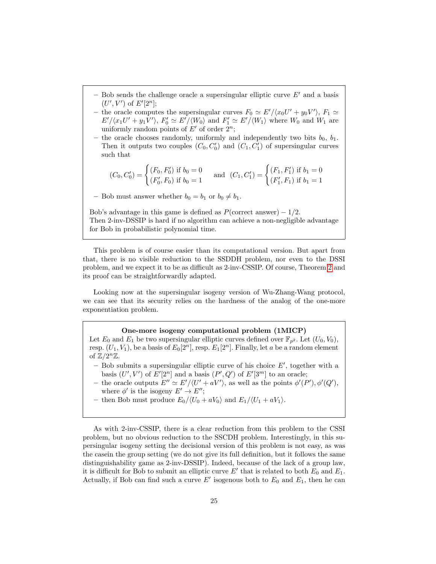- Bob sends the challenge oracle a supersingular elliptic curve  $E'$  and a basis  $(U', V')$  of  $E'[2^n];$
- the oracle computes the supersingular curves  $F_0 \simeq E'/\langle x_0 U' + y_0 V' \rangle$ ,  $F_1 \simeq$  $E'/\langle x_1 U' + y_1 V' \rangle$ ,  $F'_0 \simeq E'/\langle W_0 \rangle$  and  $F'_1 \simeq E'/\langle W_1 \rangle$  where  $W_0$  and  $W_1$  are uniformly random points of  $E'$  of order  $2^n$ ;
- the oracle chooses randomly, uniformly and independently two bits  $b_0$ ,  $b_1$ . Then it outputs two couples  $(C_0, C'_0)$  and  $(C_1, C'_1)$  of supersingular curves such that

$$
(C_0, C'_0) = \begin{cases} (F_0, F'_0) \text{ if } b_0 = 0\\ (F'_0, F_0) \text{ if } b_0 = 1 \end{cases} \text{ and } (C_1, C'_1) = \begin{cases} (F_1, F'_1) \text{ if } b_1 = 0\\ (F'_1, F_1) \text{ if } b_1 = 1 \end{cases}
$$

– Bob must answer whether  $b_0 = b_1$  or  $b_0 \neq b_1$ .

Bob's advantage in this game is defined as  $P(\text{correct answer}) - 1/2$ . Then 2-inv-DSSIP is hard if no algorithm can achieve a non-negligible advantage for Bob in probabilistic polynomial time.

This problem is of course easier than its computational version. But apart from that, there is no visible reduction to the SSDDH problem, nor even to the DSSI problem, and we expect it to be as difficult as 2-inv-CSSIP. Of course, Theorem [2](#page-11-0) and its proof can be straightforwardly adapted.

Looking now at the supersingular isogeny version of Wu-Zhang-Wang protocol, we can see that its security relies on the hardness of the analog of the one-more exponentiation problem.

#### One-more isogeny computational problem (1MICP)

Let  $E_0$  and  $E_1$  be two supersingular elliptic curves defined over  $\mathbb{F}_{p^2}$ . Let  $(U_0, V_0)$ , resp.  $(U_1, V_1)$ , be a basis of  $E_0[2^n]$ , resp.  $E_1[2^n]$ . Finally, let a be a random element of  $\mathbb{Z}/2^n\mathbb{Z}$ .

- $-$  Bob submits a supersingular elliptic curve of his choice  $E'$ , together with a basis  $(U', V')$  of  $E'[2^n]$  and a basis  $(P', Q')$  of  $E'[3^m]$  to an oracle;
- the oracle outputs  $E'' \simeq E'/\langle U' + aV' \rangle$ , as well as the points  $\phi'(P'), \phi'(Q'),$ where  $\phi'$  is the isogeny  $E' \to E''$ ;
- then Bob must produce  $E_0/\langle U_0 + aV_0 \rangle$  and  $E_1/\langle U_1 + aV_1 \rangle$ .

As with 2-inv-CSSIP, there is a clear reduction from this problem to the CSSI problem, but no obvious reduction to the SSCDH problem. Interestingly, in this supersingular isogeny setting the decisional version of this problem is not easy, as was the casein the group setting (we do not give its full definition, but it follows the same distinguishability game as 2-inv-DSSIP). Indeed, because of the lack of a group law, it is difficult for Bob to submit an elliptic curve  $E'$  that is related to both  $E_0$  and  $E_1$ . Actually, if Bob can find such a curve  $E'$  isogenous both to  $E_0$  and  $E_1$ , then he can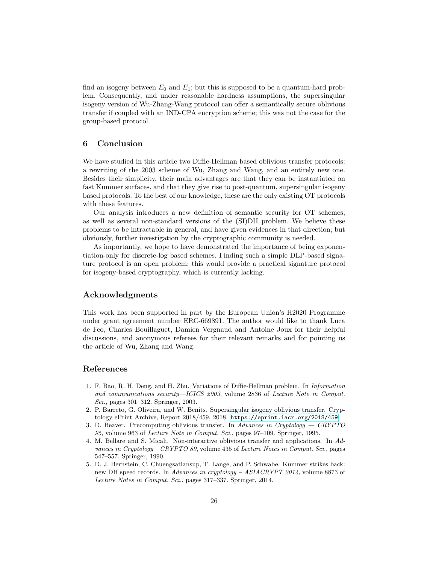find an isogeny between  $E_0$  and  $E_1$ ; but this is supposed to be a quantum-hard problem. Consequently, and under reasonable hardness assumptions, the supersingular isogeny version of Wu-Zhang-Wang protocol can offer a semantically secure oblivious transfer if coupled with an IND-CPA encryption scheme; this was not the case for the group-based protocol.

# 6 Conclusion

We have studied in this article two Diffie-Hellman based oblivious transfer protocols: a rewriting of the 2003 scheme of Wu, Zhang and Wang, and an entirely new one. Besides their simplicity, their main advantages are that they can be instantiated on fast Kummer surfaces, and that they give rise to post-quantum, supersingular isogeny based protocols. To the best of our knowledge, these are the only existing OT protocols with these features.

Our analysis introduces a new definition of semantic security for OT schemes, as well as several non-standard versions of the (SI)DH problem. We believe these problems to be intractable in general, and have given evidences in that direction; but obviously, further investigation by the cryptographic community is needed.

As importantly, we hope to have demonstrated the importance of being exponentiation-only for discrete-log based schemes. Finding such a simple DLP-based signature protocol is an open problem; this would provide a practical signature protocol for isogeny-based cryptography, which is currently lacking.

# Acknowledgments

This work has been supported in part by the European Union's H2020 Programme under grant agreement number ERC-669891. The author would like to thank Luca de Feo, Charles Bouillaguet, Damien Vergnaud and Antoine Joux for their helpful discussions, and anonymous referees for their relevant remarks and for pointing us the article of Wu, Zhang and Wang.

# References

- <span id="page-25-4"></span>1. F. Bao, R. H. Deng, and H. Zhu. Variations of Diffie-Hellman problem. In Information and communications security—ICICS 2003, volume 2836 of Lecture Note in Comput. Sci., pages 301–312. Springer, 2003.
- <span id="page-25-2"></span>2. P. Barreto, G. Oliveira, and W. Benits. Supersingular isogeny oblivious transfer. Cryptology ePrint Archive, Report 2018/459, 2018. <https://eprint.iacr.org/2018/459>.
- <span id="page-25-3"></span>3. D. Beaver. Precomputing oblivious transfer. In Advances in Cryptology  $-$  CRYPTO 95, volume 963 of Lecture Note in Comput. Sci., pages 97–109. Springer, 1995.
- <span id="page-25-1"></span>4. M. Bellare and S. Micali. Non-interactive oblivious transfer and applications. In Advances in Cryptology—CRYPTO 89, volume 435 of Lecture Notes in Comput. Sci., pages 547–557. Springer, 1990.
- <span id="page-25-0"></span>5. D. J. Bernstein, C. Chuengsatiansup, T. Lange, and P. Schwabe. Kummer strikes back: new DH speed records. In Advances in cryptology – ASIACRYPT 2014, volume 8873 of Lecture Notes in Comput. Sci., pages 317–337. Springer, 2014.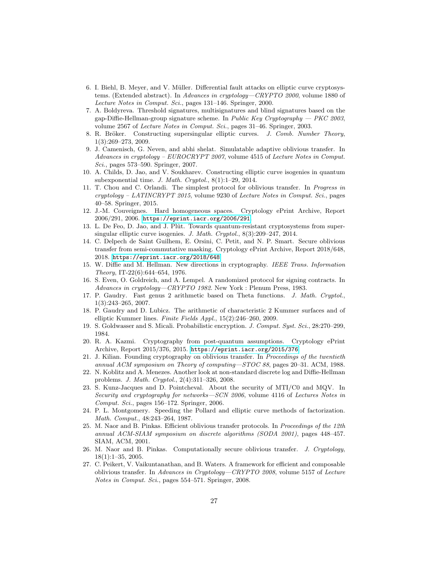- <span id="page-26-12"></span>6. I. Biehl, B. Meyer, and V. Müller. Differential fault attacks on elliptic curve cryptosystems. (Extended abstract). In Advances in cryptology—CRYPTO 2000, volume 1880 of Lecture Notes in Comput. Sci., pages 131–146. Springer, 2000.
- <span id="page-26-15"></span>7. A. Boldyreva. Threshold signatures, multisignatures and blind signatures based on the gap-Diffie-Hellman-group signature scheme. In *Public Key Cryptography*  $- PKC$  *2003*, volume 2567 of Lecture Notes in Comput. Sci., pages 31–46. Springer, 2003.
- <span id="page-26-21"></span>8. R. Bröker. Constructing supersingular elliptic curves. J. Comb. Number Theory, 1(3):269–273, 2009.
- <span id="page-26-13"></span>9. J. Camenisch, G. Neven, and abhi shelat. Simulatable adaptive oblivious transfer. In Advances in cryptology – EUROCRYPT 2007, volume 4515 of Lecture Notes in Comput. Sci., pages 573–590. Springer, 2007.
- <span id="page-26-19"></span>10. A. Childs, D. Jao, and V. Soukharev. Constructing elliptic curve isogenies in quantum subexponential time. J. Math. Cryptol., 8(1):1–29, 2014.
- <span id="page-26-7"></span>11. T. Chou and C. Orlandi. The simplest protocol for oblivious transfer. In Progress in  $cryptology - LATINCRYPT 2015$ , volume 9230 of Lecture Notes in Comput. Sci., pages 40–58. Springer, 2015.
- <span id="page-26-20"></span>12. J.-M. Couveignes. Hard homogeneous spaces. Cryptology ePrint Archive, Report 2006/291, 2006. <https://eprint.iacr.org/2006/291>.
- <span id="page-26-4"></span>13. L. De Feo, D. Jao, and J. Plût. Towards quantum-resistant cryptosystems from supersingular elliptic curve isogenies. J. Math. Cryptol., 8(3):209–247, 2014.
- <span id="page-26-11"></span>14. C. Delpech de Saint Guilhem, E. Orsini, C. Petit, and N. P. Smart. Secure oblivious transfer from semi-commutative masking. Cryptology ePrint Archive, Report 2018/648, 2018. <https://eprint.iacr.org/2018/648>.
- <span id="page-26-0"></span>15. W. Diffie and M. Hellman. New directions in cryptography. IEEE Trans. Information Theory, IT-22(6):644–654, 1976.
- <span id="page-26-5"></span>16. S. Even, O. Goldreich, and A. Lempel. A randomized protocol for signing contracts. In Advances in cryptology—CRYPTO 1982. New York : Plenum Press, 1983.
- <span id="page-26-2"></span>17. P. Gaudry. Fast genus 2 arithmetic based on Theta functions. J. Math. Cryptol., 1(3):243–265, 2007.
- <span id="page-26-3"></span>18. P. Gaudry and D. Lubicz. The arithmetic of characteristic 2 Kummer surfaces and of elliptic Kummer lines. Finite Fields Appl., 15(2):246–260, 2009.
- <span id="page-26-17"></span>19. S. Goldwasser and S. Micali. Probabilistic encryption. J. Comput. Syst. Sci., 28:270–299, 1984.
- <span id="page-26-10"></span>20. R. A. Kazmi. Cryptography from post-quantum assumptions. Cryptology ePrint Archive, Report 2015/376, 2015. <https://eprint.iacr.org/2015/376>.
- <span id="page-26-6"></span>21. J. Kilian. Founding cryptography on oblivious transfer. In Proceedings of the twentieth annual ACM symposium on Theory of computing—STOC 88, pages 20–31. ACM, 1988.
- <span id="page-26-16"></span>22. N. Koblitz and A. Menezes. Another look at non-standard discrete log and Diffie-Hellman problems. J. Math. Cryptol., 2(4):311–326, 2008.
- <span id="page-26-14"></span>23. S. Kunz-Jacques and D. Pointcheval. About the security of MTI/C0 and MQV. In Security and cryptography for networks—SCN 2006, volume 4116 of Lectures Notes in Comput. Sci., pages 156–172. Springer, 2006.
- <span id="page-26-1"></span>24. P. L. Montgomery. Speeding the Pollard and elliptic curve methods of factorization. Math. Comput., 48:243–264, 1987.
- <span id="page-26-8"></span>25. M. Naor and B. Pinkas. Efficient oblivious transfer protocols. In Proceedings of the 12th annual ACM-SIAM symposium on discrete algorithms (SODA 2001), pages 448–457. SIAM, ACM, 2001.
- <span id="page-26-18"></span>26. M. Naor and B. Pinkas. Computationally secure oblivious transfer. J. Cryptology, 18(1):1–35, 2005.
- <span id="page-26-9"></span>27. C. Peikert, V. Vaikuntanathan, and B. Waters. A framework for efficient and composable oblivious transfer. In Advances in Cryptology—CRYPTO 2008, volume 5157 of Lecture Notes in Comput. Sci., pages 554–571. Springer, 2008.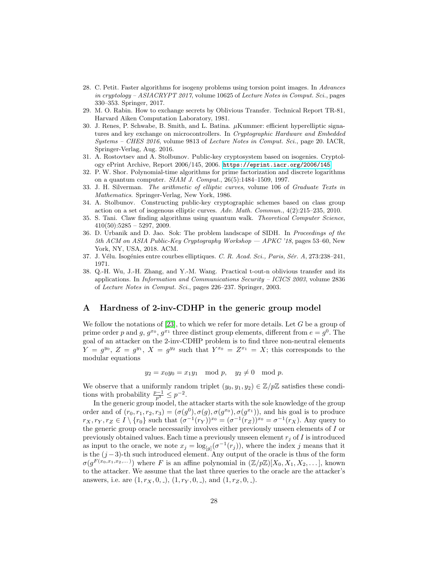- <span id="page-27-10"></span>28. C. Petit. Faster algorithms for isogeny problems using torsion point images. In Advances in cryptology – ASIACRYPT 2017, volume 10625 of Lecture Notes in Comput. Sci., pages 330–353. Springer, 2017.
- <span id="page-27-2"></span>29. M. O. Rabin. How to exchange secrets by Oblivious Transfer. Technical Report TR-81, Harvard Aiken Computation Laboratory, 1981.
- <span id="page-27-0"></span>30. J. Renes, P. Schwabe, B. Smith, and L. Batina. µKummer: efficient hyperelliptic signatures and key exchange on microcontrollers. In Cryptographic Hardware and Embedded Systems – CHES 2016, volume 9813 of Lecture Notes in Comput. Sci., page 20. IACR, Springer-Verlag, Aug. 2016.
- <span id="page-27-8"></span>31. A. Rostovtsev and A. Stolbunov. Public-key cryptosystem based on isogenies. Cryptology ePrint Archive, Report 2006/145, 2006. <https://eprint.iacr.org/2006/145>.
- <span id="page-27-1"></span>32. P. W. Shor. Polynomial-time algorithms for prime factorization and discrete logarithms on a quantum computer. SIAM J. Comput., 26(5):1484–1509, 1997.
- <span id="page-27-5"></span>33. J. H. Silverman. The arithmetic of elliptic curves, volume 106 of Graduate Texts in Mathematics. Springer-Verlag, New York, 1986.
- <span id="page-27-9"></span>34. A. Stolbunov. Constructing public-key cryptographic schemes based on class group action on a set of isogenous elliptic curves. Adv. Math. Commun., 4(2):215–235, 2010.
- <span id="page-27-7"></span>35. S. Tani. Claw finding algorithms using quantum walk. Theoretical Computer Science,  $410(50):5285 - 5297, 2009.$
- <span id="page-27-11"></span>36. D. Urbanik and D. Jao. Sok: The problem landscape of SIDH. In Proceedings of the 5th ACM on ASIA Public-Key Cryptography Workshop — APKC '18, pages 53–60, New York, NY, USA, 2018. ACM.
- <span id="page-27-6"></span>37. J. Vélu. Isogénies entre courbes elliptiques. C. R. Acad. Sci., Paris, Sér. A, 273:238–241, 1971.
- <span id="page-27-3"></span>38. Q.-H. Wu, J.-H. Zhang, and Y.-M. Wang. Practical t-out-n oblivious transfer and its applications. In Information and Communications Security – ICICS 2003, volume 2836 of Lecture Notes in Comput. Sci., pages 226–237. Springer, 2003.

# <span id="page-27-4"></span>A Hardness of 2-inv-CDHP in the generic group model

We follow the notations of  $[23]$ , to which we refer for more details. Let G be a group of prime order p and g,  $g^{x_0}$ ,  $g^{x_1}$  three distinct group elements, different from  $e = g^0$ . The goal of an attacker on the 2-inv-CDHP problem is to find three non-neutral elements  $Y = g^{y_0}, Z = g^{y_1}, X = g^{y_2}$  such that  $Y^{x_0} = Z^{x_1} = X$ ; this corresponds to the modular equations

$$
y_2 = x_0 y_0 = x_1 y_1 \mod p
$$
,  $y_2 \neq 0 \mod p$ .

We observe that a uniformly random triplet  $(y_0, y_1, y_2) \in \mathbb{Z}/p\mathbb{Z}$  satisfies these conditions with probability  $\frac{p-1}{p^3} \leq p^{-2}$ .

In the generic group model, the attacker starts with the sole knowledge of the group order and of  $(r_0, r_1, r_2, r_3) = (\sigma(g^0), \sigma(g), \sigma(g^{x_0}), \sigma(g^{x_1}))$ , and his goal is to produce  $r_X, r_Y, r_Z \in I \setminus \{r_0\}$  such that  $(\sigma^{-1}(r_Y))^{x_0} = (\sigma^{-1}(r_Z))^{x_0} = \sigma^{-1}(r_X)$ . Any query to the generic group oracle necessarily involves either previously unseen elements of I or previously obtained values. Each time a previously unseen element  $r_i$  of I is introduced as input to the oracle, we note  $x_j = \log_{[g]}(\sigma^{-1}(r_j))$ , where the index j means that it is the  $(j-3)$ -th such introduced element. Any output of the oracle is thus of the form  $\sigma(g^{F(x_0,x_1,x_2,...)})$  where F is an affine polynomial in  $(\mathbb{Z}/p\mathbb{Z})[X_0,X_1,X_2,...]$ , known to the attacker. We assume that the last three queries to the oracle are the attacker's answers, i.e. are  $(1, r_X, 0, ...)$ ,  $(1, r_Y, 0, ...)$ , and  $(1, r_Z, 0, ...)$ .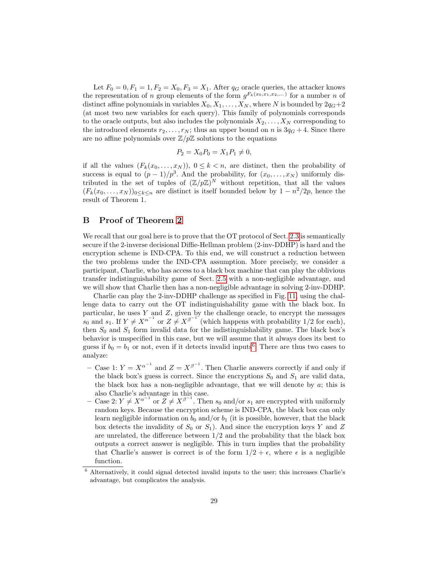Let  $F_0 = 0, F_1 = 1, F_2 = X_0, F_3 = X_1$ . After  $q_G$  oracle queries, the attacker knows the representation of n group elements of the form  $g^{F_k(x_0,x_1,x_2,...)}$  for a number n of distinct affine polynomials in variables  $X_0, X_1, \ldots, X_N$ , where N is bounded by  $2q_G+2$ (at most two new variables for each query). This family of polynomials corresponds to the oracle outputs, but also includes the polynomials  $X_2, \ldots, X_N$  corresponding to the introduced elements  $r_2, \ldots, r_N$ ; thus an upper bound on n is  $3q_G + 4$ . Since there are no affine polynomials over  $\mathbb{Z}/p\mathbb{Z}$  solutions to the equations

$$
P_2 = X_0 P_0 = X_1 P_1 \neq 0,
$$

if all the values  $(F_k(x_0, \ldots, x_N))$ ,  $0 \le k < n$ , are distinct, then the probability of success is equal to  $(p-1)/p^3$ . And the probability, for  $(x_0, \ldots, x_N)$  uniformly distributed in the set of tuples of  $(\mathbb{Z}/p\mathbb{Z})^N$  without repetition, that all the values  $(F_k(x_0,\ldots,x_N))_{0\leq k\leq n}$  are distinct is itself bounded below by  $1-n^2/2p$ , hence the result of Theorem 1.

# <span id="page-28-0"></span>B Proof of Theorem [2](#page-11-0)

We recall that our goal here is to prove that the OT protocol of Sect. [2.3](#page-6-0) is semantically secure if the 2-inverse decisional Diffie-Hellman problem (2-inv-DDHP) is hard and the encryption scheme is IND-CPA. To this end, we will construct a reduction between the two problems under the IND-CPA assumption. More precisely, we consider a participant, Charlie, who has access to a black box machine that can play the oblivious transfer indistinguishability game of Sect. [2.5](#page-8-0) with a non-negligible advantage, and we will show that Charlie then has a non-negligible advantage in solving 2-inv-DDHP.

Charlie can play the 2-inv-DDHP challenge as specified in Fig. [11,](#page-30-0) using the challenge data to carry out the OT indistinguishability game with the black box. In particular, he uses  $Y$  and  $Z$ , given by the challenge oracle, to encrypt the messages  $s_0$  and  $s_1$ . If  $Y \neq X^{\alpha^{-1}}$  or  $Z \neq X^{\beta^{-1}}$  (which happens with probability 1/2 for each), then  $S_0$  and  $S_1$  form invalid data for the indistinguishability game. The black box's behavior is unspecified in this case, but we will assume that it always does its best to guess if  $b_0 = b_1$  or not, even if it detects invalid inputs<sup>[6](#page-28-1)</sup>. There are thus two cases to analyze:

- Case 1:  $Y = X^{\alpha^{-1}}$  and  $Z = X^{\beta^{-1}}$ . Then Charlie answers correctly if and only if the black box's guess is correct. Since the encryptions  $S_0$  and  $S_1$  are valid data, the black box has a non-negligible advantage, that we will denote by a; this is also Charlie's advantage in this case.
- Case 2:  $Y \neq X^{\alpha^{-1}}$  or  $Z \neq X^{\beta^{-1}}$ . Then  $s_0$  and/or  $s_1$  are encrypted with uniformly random keys. Because the encryption scheme is IND-CPA, the black box can only learn negligible information on  $b_0$  and/or  $b_1$  (it is possible, however, that the black box detects the invalidity of  $S_0$  or  $S_1$ ). And since the encryption keys Y and Z are unrelated, the difference between  $1/2$  and the probability that the black box outputs a correct answer is negligible. This in turn implies that the probability that Charlie's answer is correct is of the form  $1/2 + \epsilon$ , where  $\epsilon$  is a negligible function.

<span id="page-28-1"></span> $6$  Alternatively, it could signal detected invalid inputs to the user; this increases Charlie's advantage, but complicates the analysis.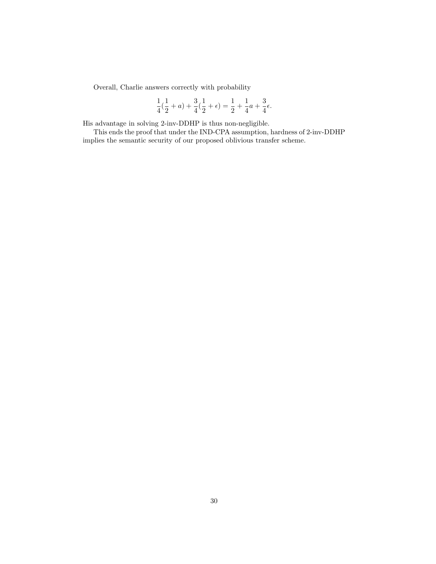Overall, Charlie answers correctly with probability

$$
\frac{1}{4}(\frac{1}{2} + a) + \frac{3}{4}(\frac{1}{2} + \epsilon) = \frac{1}{2} + \frac{1}{4}a + \frac{3}{4}\epsilon.
$$

His advantage in solving 2-inv-DDHP is thus non-negligible.

This ends the proof that under the IND-CPA assumption, hardness of 2-inv-DDHP implies the semantic security of our proposed oblivious transfer scheme.